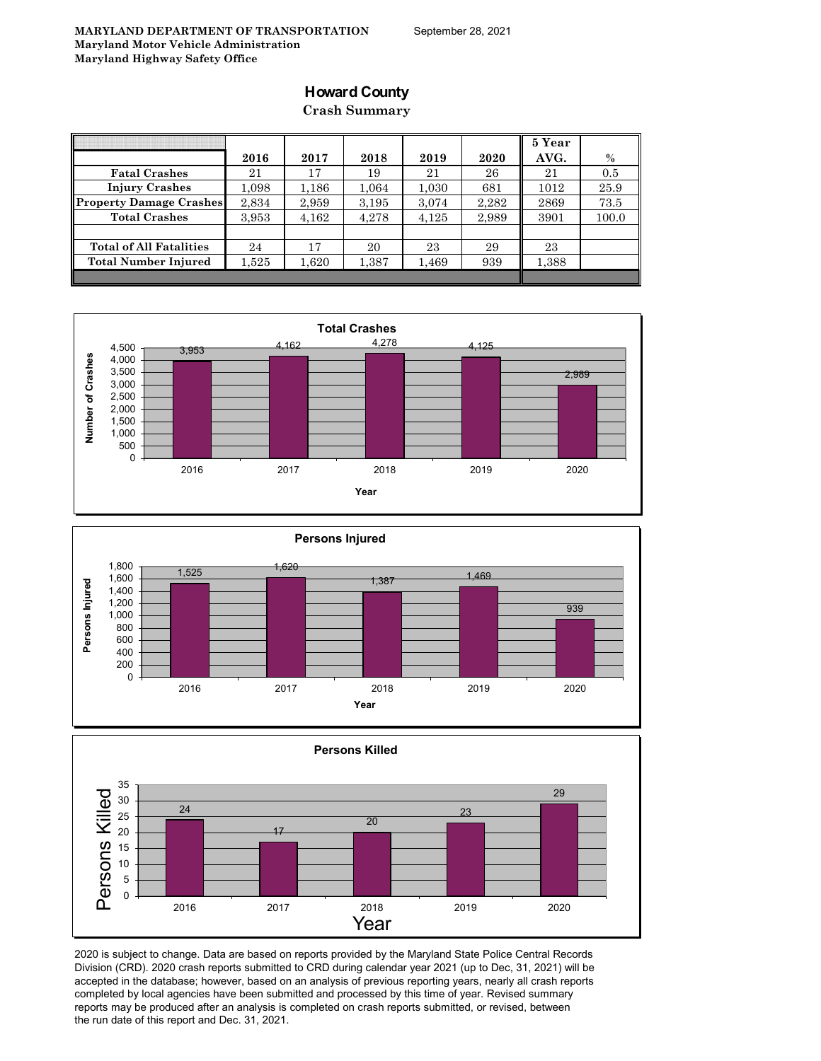## **Howard County**

**Crash Summary**

|                                |       |       |       |       |       | 5 Year |       |
|--------------------------------|-------|-------|-------|-------|-------|--------|-------|
|                                | 2016  | 2017  | 2018  | 2019  | 2020  | AVG.   | $\%$  |
| <b>Fatal Crashes</b>           | 21    | 17    | 19    | 21    | 26    | 21     | 0.5   |
| <b>Injury Crashes</b>          | 1.098 | 1,186 | 1,064 | 1,030 | 681   | 1012   | 25.9  |
| <b>Property Damage Crashes</b> | 2,834 | 2,959 | 3,195 | 3,074 | 2,282 | 2869   | 73.5  |
| <b>Total Crashes</b>           | 3,953 | 4,162 | 4,278 | 4,125 | 2,989 | 3901   | 100.0 |
|                                |       |       |       |       |       |        |       |
| <b>Total of All Fatalities</b> | 24    | 17    | 20    | 23    | 29    | 23     |       |
| <b>Total Number Injured</b>    | 1.525 | 1,620 | 1,387 | 1,469 | 939   | 1,388  |       |
|                                |       |       |       |       |       |        |       |







2020 is subject to change. Data are based on reports provided by the Maryland State Police Central Records Division (CRD). 2020 crash reports submitted to CRD during calendar year 2021 (up to Dec, 31, 2021) will be accepted in the database; however, based on an analysis of previous reporting years, nearly all crash reports completed by local agencies have been submitted and processed by this time of year. Revised summary reports may be produced after an analysis is completed on crash reports submitted, or revised, between the run date of this report and Dec. 31, 2021.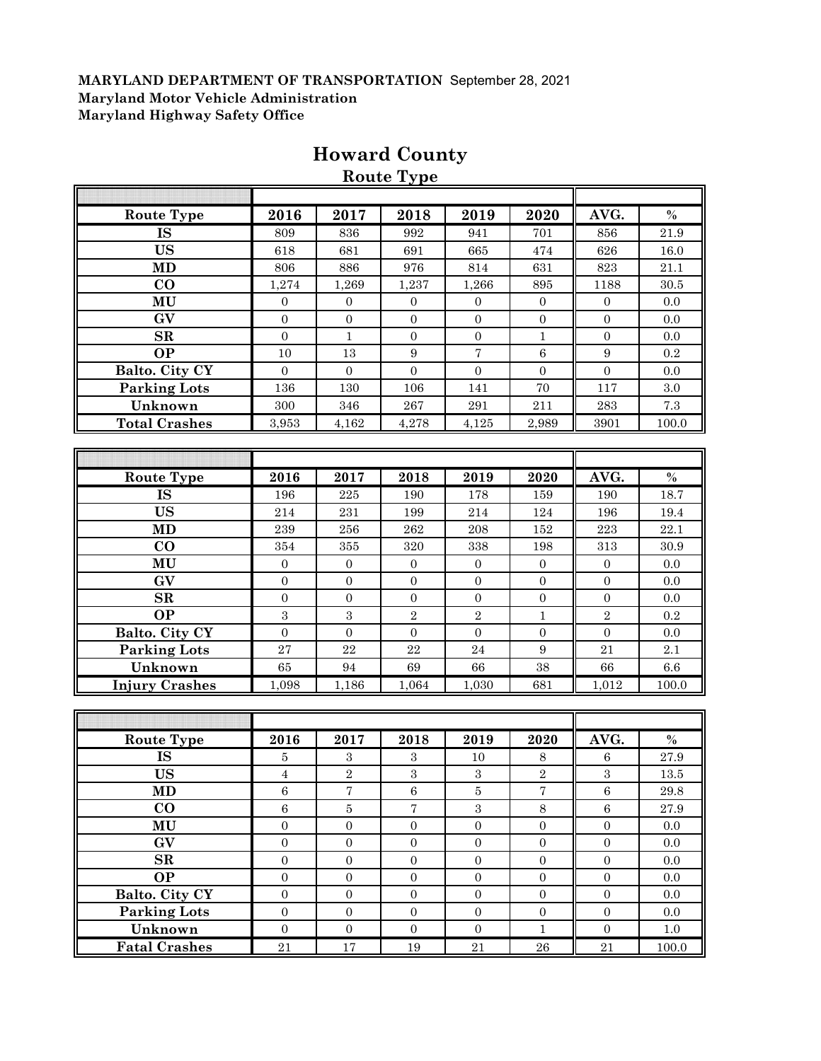| <b>Route Type</b>      | 2016             | 2017             | 2018             | 2019              | 2020              | AVG.             | $\%$          |
|------------------------|------------------|------------------|------------------|-------------------|-------------------|------------------|---------------|
| <b>IS</b>              | 809              | 836              | 992              | 941               | 701               | 856              | 21.9          |
| <b>US</b>              | 618              | 681              | 691              | 665               | 474               | 626              | 16.0          |
| <b>MD</b>              | 806              | 886              | 976              | 814               | 631               | 823              | 21.1          |
| CO                     | 1,274            | 1,269            | 1,237            | 1,266             | 895               | 1188             | 30.5          |
| MU                     | $\overline{0}$   | $\mathbf{0}$     | $\mathbf{0}$     | $\overline{0}$    | $\overline{0}$    | $\mathbf{0}$     | 0.0           |
| GV                     | $\boldsymbol{0}$ | $\boldsymbol{0}$ | $\boldsymbol{0}$ | $\boldsymbol{0}$  | $\boldsymbol{0}$  | $\boldsymbol{0}$ | 0.0           |
| SR                     | $\mathbf{0}$     | $\mathbf 1$      | $\boldsymbol{0}$ | $\boldsymbol{0}$  | $\mathbf 1$       | $\boldsymbol{0}$ | 0.0           |
| <b>OP</b>              | 10               | 13               | $\boldsymbol{9}$ | $\scriptstyle{7}$ | $\,6$             | 9                | 0.2           |
| Balto. City CY         | $\overline{0}$   | $\boldsymbol{0}$ | $\boldsymbol{0}$ | $\mathbf{0}$      | $\mathbf{0}$      | $\mathbf{0}$     | 0.0           |
| <b>Parking Lots</b>    | 136              | 130              | 106              | 141               | 70                | 117              | 3.0           |
| Unknown                | 300              | 346              | ${\bf 267}$      | $\bf 291$         | $211\,$           | $\bf 283$        | $7.3\,$       |
| <b>Total Crashes</b>   | 3,953            | 4,162            | 4,278            | 4,125             | 2,989             | 3901             | 100.0         |
|                        |                  |                  |                  |                   |                   |                  |               |
|                        |                  |                  |                  |                   |                   |                  |               |
| <b>Route Type</b>      | 2016             | 2017             | 2018             | 2019              | 2020              | AVG.             | $\frac{0}{0}$ |
| $\overline{\text{IS}}$ | 196              | 225              | 190              | 178               | 159               | 190              | 18.7          |
| <b>US</b>              | 214              | 231              | 199              | 214               | 124               | 196              | 19.4          |
| <b>MD</b>              | 239              | 256              | 262              | 208               | 152               | $223\,$          | 22.1          |
| $\bf CO$               | 354              | 355              | 320              | 338               | 198               | 313              | 30.9          |
| MU                     | $\boldsymbol{0}$ | $\boldsymbol{0}$ | $\boldsymbol{0}$ | $\mathbf{0}$      | $\overline{0}$    | $\mathbf{0}$     | 0.0           |
| GV                     | $\overline{0}$   | $\boldsymbol{0}$ | $\boldsymbol{0}$ | $\mathbf{0}$      | $\boldsymbol{0}$  | $\mathbf{0}$     | 0.0           |
| SR                     | $\boldsymbol{0}$ | $\boldsymbol{0}$ | $\mathbf{0}$     | $\boldsymbol{0}$  | $\overline{0}$    | $\overline{0}$   | 0.0           |
| <b>OP</b>              | $\boldsymbol{3}$ | $\boldsymbol{3}$ | $\sqrt{2}$       | $\overline{2}$    | $\mathbf{1}$      | $\overline{2}$   | 0.2           |
| Balto. City CY         | $\mathbf{0}$     | $\boldsymbol{0}$ | $\boldsymbol{0}$ | $\mathbf{0}$      | $\mathbf{0}$      | $\boldsymbol{0}$ | 0.0           |
| <b>Parking Lots</b>    | 27               | $\bf{22}$        | 22               | 24                | $\boldsymbol{9}$  | 21               | 2.1           |
| Unknown                | 65               | 94               | 69               | 66                | 38                | 66               | 6.6           |
| <b>Injury Crashes</b>  | 1,098            | 1,186            | 1,064            | 1,030             | 681               | 1,012            | 100.0         |
|                        |                  |                  |                  |                   |                   |                  |               |
|                        |                  |                  |                  |                   |                   |                  |               |
| Route Type             | 2016             | 2017             | 2018             | 2019              | 2020              | AVG.             | $\%$          |
| <b>IS</b>              | 5                | $\,3$            | $\,3$            | 10                | $\,8\,$           | 6                | 27.9          |
| <b>US</b>              | $\overline{4}$   | $\overline{2}$   | $\sqrt{3}$       | $\,3$             | $\overline{2}$    | $\overline{3}$   | $13.5\,$      |
| <b>MD</b>              | $\,6\,$          | $\sqrt{ }$       | $\,6$            | $\bf 5$           | $\scriptstyle{7}$ | $\,6\,$          | $29.8\,$      |
| $\bf CO$               | $\overline{6}$   | $\overline{5}$   | $\bf 7$          | 3                 | 8                 | $\overline{6}$   | $27.9\,$      |
| MU                     | $\boldsymbol{0}$ | $\boldsymbol{0}$ | $\boldsymbol{0}$ | $\boldsymbol{0}$  | $\boldsymbol{0}$  | $\boldsymbol{0}$ | $0.0\,$       |
| $\mathbf{G}\mathbf{V}$ | $\boldsymbol{0}$ | $\boldsymbol{0}$ | $\boldsymbol{0}$ | $\boldsymbol{0}$  | $\boldsymbol{0}$  | $\boldsymbol{0}$ | $0.0\,$       |
| SR                     | $\overline{0}$   | $\mathbf{0}$     | $\boldsymbol{0}$ | $\boldsymbol{0}$  | $\boldsymbol{0}$  | $\boldsymbol{0}$ | 0.0           |
| <b>OP</b>              | $\boldsymbol{0}$ | $\boldsymbol{0}$ | $\boldsymbol{0}$ | $\boldsymbol{0}$  | $\boldsymbol{0}$  | $\boldsymbol{0}$ | $0.0\,$       |
| Balto. City CY         | $\boldsymbol{0}$ | $\boldsymbol{0}$ | $\boldsymbol{0}$ | $\overline{0}$    | $\mathbf{0}$      | $\boldsymbol{0}$ | 0.0           |
| Parking Lots           | $\boldsymbol{0}$ | $\boldsymbol{0}$ | $\boldsymbol{0}$ | $\boldsymbol{0}$  | $\boldsymbol{0}$  | $\boldsymbol{0}$ | $0.0\,$       |
| Unknown                | $\boldsymbol{0}$ | $\boldsymbol{0}$ | $\boldsymbol{0}$ | $\overline{0}$    | $\mathbf{1}$      | $\boldsymbol{0}$ | $1.0\,$       |
| <b>Fatal Crashes</b>   | $21\,$           | $17\,$           | 19               | $21\,$            | ${\bf 26}$        | $21\,$           | 100.0         |

## **Howard County Route Type**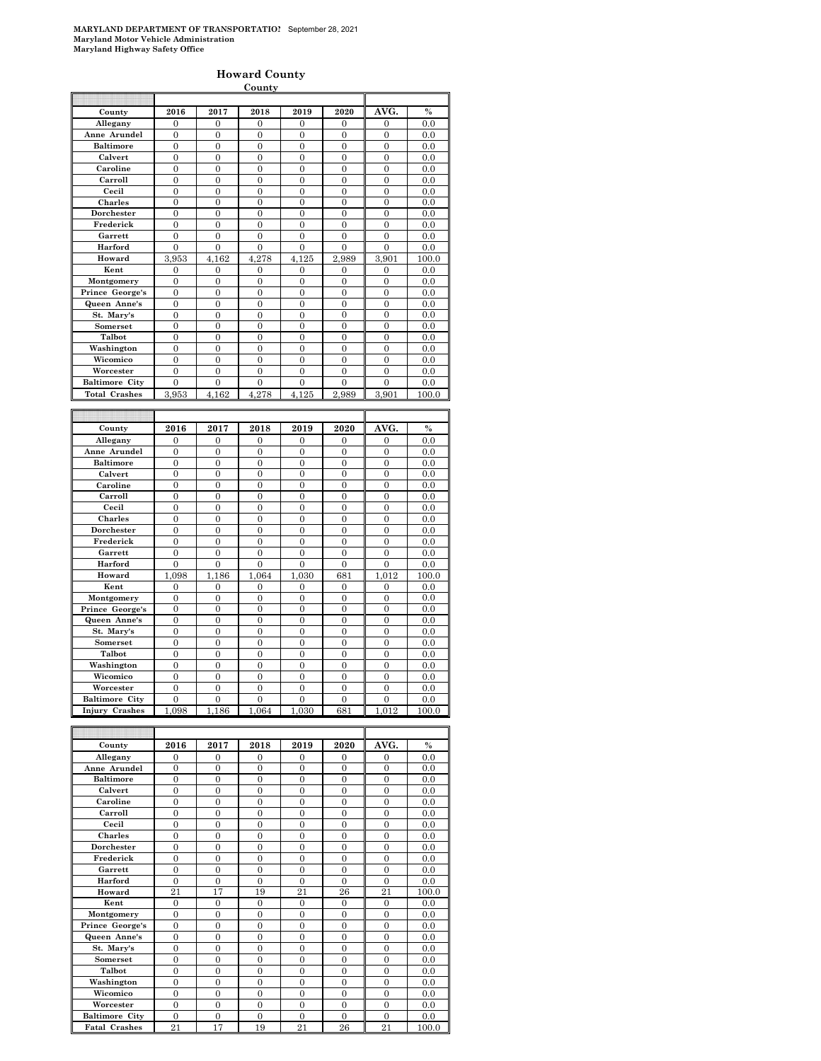### **Howard County**

|                       |                  |                  | County                       |                  |                              |                              |                       |
|-----------------------|------------------|------------------|------------------------------|------------------|------------------------------|------------------------------|-----------------------|
|                       |                  |                  |                              |                  |                              |                              |                       |
| County                | 2016             | 2017             | 2018                         | 2019             | 2020                         | AVG.                         | $\frac{0}{0}$         |
| Allegany              | 0                | $\mathbf{0}$     | $\mathbf{0}$                 | $\mathbf{0}$     | $\mathbf{0}$                 | $\mathbf{0}$                 | 0.0                   |
| Anne Arundel          | $\boldsymbol{0}$ | $\boldsymbol{0}$ | $\mathbf{0}$                 | $\boldsymbol{0}$ | $\boldsymbol{0}$             | $\boldsymbol{0}$             | 0.0                   |
| <b>Baltimore</b>      | $\boldsymbol{0}$ | $\boldsymbol{0}$ | $\overline{0}$               | $\mathbf{0}$     | $\overline{0}$               | $\overline{0}$               | 0.0                   |
| Calvert               | 0                | $\overline{0}$   | $\mathbf{0}$                 | 0                | 0                            | $\mathbf{0}$                 | 0.0                   |
| Caroline              | $\boldsymbol{0}$ | $\boldsymbol{0}$ | $\mathbf{0}$                 | 0                | $\boldsymbol{0}$             | $\boldsymbol{0}$             | 0.0                   |
| Carroll               | $\overline{0}$   | $\overline{0}$   | $\overline{0}$               | $\overline{0}$   | $\overline{0}$               | $\overline{0}$               | 0.0                   |
| Cecil                 | $\boldsymbol{0}$ | $\boldsymbol{0}$ | $\mathbf{0}$                 | 0                | $\boldsymbol{0}$             | $\boldsymbol{0}$             | 0.0                   |
| Charles               | $\mathbf{0}$     | $\mathbf{0}$     | $\overline{0}$               | $\mathbf{0}$     | $\overline{0}$               | $\overline{0}$               | 0.0                   |
| Dorchester            | 0                | $\overline{0}$   | $\mathbf{0}$                 | 0                | $\mathbf{0}$                 | $\mathbf{0}$                 | 0.0                   |
| Frederick             | 0                | $\boldsymbol{0}$ | $\bf{0}$                     | 0                | 0                            | 0                            | 0.0                   |
| Garrett               | $\overline{0}$   | $\overline{0}$   | $\overline{0}$               | $\overline{0}$   | 0                            | $\overline{0}$               | 0.0                   |
| Harford               | $\boldsymbol{0}$ | $\mathbf{0}$     | $\mathbf{0}$                 | $\mathbf{0}$     | $\mathbf{0}$                 | $\boldsymbol{0}$             | 0.0                   |
| Howard                | 3,953            | 4,162            | 4,278                        | 4.125            | 2,989                        | 3,901                        | 100.0                 |
| Kent                  | 0                | $\overline{0}$   | 0                            | 0                | 0                            | $\mathbf{0}$                 | 0.0                   |
| Montgomery            | 0                | $\boldsymbol{0}$ | 0                            | 0                | 0                            | 0                            | 0.0                   |
| Prince George's       | $\overline{0}$   | $\overline{0}$   | $\overline{0}$               | $\overline{0}$   | $\mathbf{0}$                 | $\overline{0}$               | 0.0                   |
| Queen Anne's          | $\boldsymbol{0}$ | $\boldsymbol{0}$ | $\mathbf{0}$                 | $\boldsymbol{0}$ | $\boldsymbol{0}$             | $\boldsymbol{0}$             | 0.0                   |
| St. Mary's            | $\mathbf{0}$     | $\boldsymbol{0}$ | $\overline{0}$               | $\mathbf{0}$     | $\overline{0}$               | $\boldsymbol{0}$             | 0.0                   |
| Somerset              | 0                | $\overline{0}$   | $\mathbf{0}$                 | 0                | $\mathbf{0}$                 | $\mathbf{0}$                 | 0.0                   |
| Talbot                | $\boldsymbol{0}$ | $\boldsymbol{0}$ | $\bf{0}$                     | 0                | 0                            | 0                            | 0.0                   |
| Washington            | $\overline{0}$   | $\overline{0}$   | $\overline{0}$               | 0                | 0                            | $\overline{0}$               | 0.0                   |
| Wicomico              | $\boldsymbol{0}$ | $\boldsymbol{0}$ | $\mathbf{0}$                 | $\mathbf{0}$     | $\mathbf{0}$                 | $\boldsymbol{0}$             | 0.0                   |
| Worcester             | $\mathbf{0}$     | $\mathbf{0}$     | $\overline{0}$               | $\mathbf{0}$     | $\overline{0}$               | $\overline{0}$               | 0.0                   |
| <b>Baltimore City</b> | 0                | $\overline{0}$   | $\mathbf{0}$                 | 0                | 0                            | $\mathbf{0}$                 | 0.0                   |
| <b>Total Crashes</b>  | 3,953            | 4,162            | 4,278                        | 4,125            | 2,989                        | 3,901                        | 100.0                 |
|                       |                  |                  |                              |                  |                              |                              |                       |
|                       |                  |                  |                              |                  |                              |                              |                       |
| County                | 2016             | 2017             | 2018                         | 2019             | 2020                         | AVG.                         | $\frac{0}{0}$         |
| Allegany              | 0                | $\boldsymbol{0}$ | $\mathbf{0}$                 | 0                | $\boldsymbol{0}$             | $\boldsymbol{0}$             | 0.0                   |
| Anne Arundel          | 0                | 0                | $\overline{0}$               | 0                | $\mathbf{0}$                 | $\overline{0}$               | 0.0                   |
| <b>Baltimore</b>      | 0                | $\overline{0}$   | $\mathbf{0}$                 | 0                | 0                            | $\mathbf{0}$                 | 0.0                   |
| Calvert               | $\boldsymbol{0}$ | $\boldsymbol{0}$ | $\boldsymbol{0}$             | 0                | $\boldsymbol{0}$             | $\boldsymbol{0}$             | 0.0                   |
| Caroline              | $\overline{0}$   | $\overline{0}$   | $\overline{0}$               | $\overline{0}$   | $\overline{0}$               | $\overline{0}$               | 0.0                   |
| Carroll               | $\boldsymbol{0}$ | $\boldsymbol{0}$ | $\mathbf{0}$                 | $\boldsymbol{0}$ | $\boldsymbol{0}$             | $\boldsymbol{0}$             | 0.0                   |
| Cecil                 | $\mathbf{0}$     | $\mathbf{0}$     | $\overline{0}$               | $\mathbf{0}$     | $\overline{0}$               | $\overline{0}$               | 0.0                   |
| Charles               | 0                | $\overline{0}$   | $\mathbf{0}$                 | 0                | $\mathbf{0}$                 | $\mathbf{0}$                 | 0.0                   |
| Dorchester            | $\boldsymbol{0}$ | $\boldsymbol{0}$ | $\bf{0}$                     | 0                | 0                            | 0                            | 0.0                   |
| Frederick             | $\overline{0}$   | $\overline{0}$   | $\overline{0}$               | $\overline{0}$   | $\overline{0}$               | $\overline{0}$               | 0.0                   |
| Garrett               | $\boldsymbol{0}$ | $\boldsymbol{0}$ | $\mathbf{0}$                 | $\boldsymbol{0}$ | $\mathbf{0}$                 | $\boldsymbol{0}$             | 0.0                   |
| Harford               | $\overline{0}$   | $\overline{0}$   | $\overline{0}$               | $\overline{0}$   | $\overline{0}$               | $\overline{0}$               | 0.0                   |
| Howard                | .098<br>1        | 1,186            | 1,064                        | 1,030            | 681                          | 1,012                        | 100.0                 |
| Kent                  | 0                | 0                | 0                            | 0                | 0                            | 0                            | 0.0                   |
| Montgomery            | $\overline{0}$   | $\overline{0}$   | $\overline{0}$               | $\overline{0}$   | $\overline{0}$               | $\overline{0}$               | 0.0                   |
| Prince George's       | $\boldsymbol{0}$ | $\boldsymbol{0}$ | $\mathbf{0}$                 | $\boldsymbol{0}$ | $\boldsymbol{0}$             | $\boldsymbol{0}$             | 0.0                   |
| Queen Anne's          | $\mathbf{0}$     | $\mathbf{0}$     | $\overline{0}$               | $\mathbf{0}$     | $\mathbf{0}$                 | $\boldsymbol{0}$             | 0.0                   |
| St. Mary's            | 0                | $\overline{0}$   | $\mathbf{0}$                 | 0                | $\mathbf{0}$                 | $\mathbf{0}$                 | 0.0                   |
| Somerset              | $\boldsymbol{0}$ | $\boldsymbol{0}$ | $\bf{0}$                     | 0                | 0                            | 0                            | 0.0                   |
| <b>Talbot</b>         | $\overline{0}$   | $\overline{0}$   | $\overline{0}$               | $\overline{0}$   | $\overline{0}$               | $\overline{0}$               | 0.0                   |
| Washington            | $\boldsymbol{0}$ | $\mathbf{0}$     | $\mathbf{0}$                 | 0                | $\mathbf{0}$                 | $\boldsymbol{0}$             | 0.0                   |
| Wicomico              | $\mathbf{0}$     | $\boldsymbol{0}$ | $\mathbf{0}$                 | $\mathbf{0}$     | $\mathbf{0}$                 | $\boldsymbol{0}$             | 0.0                   |
| Worcester             | 0                | 0                | 0                            | 0                | 0                            | 0                            | $_{0.0}$              |
| <b>Baltimore City</b> | 0                | $\boldsymbol{0}$ | 0                            | 0                | 0                            | 0                            | 0.0                   |
| Injury Crashes        | .098<br>1        | 1,186            | 1,064                        | 1,030            | 681                          | 1,012                        | 100.0                 |
|                       |                  |                  |                              |                  |                              |                              |                       |
|                       |                  |                  |                              |                  |                              |                              |                       |
| County                | 2016             | 2017             | 2018                         | 2019             | 2020                         | AVG.                         | $\%$                  |
|                       |                  |                  |                              |                  |                              |                              |                       |
| Allegany              | 0                | $\boldsymbol{0}$ | 0                            | 0                | 0                            | 0                            | 0.0                   |
| Anne Arundel          | 0                | 0                | 0                            | 0                | 0                            | 0                            | 0.0                   |
| <b>Baltimore</b>      | 0                | 0                | 0                            | 0                | 0                            | 0                            | 0.0                   |
| Calvert               | $\boldsymbol{0}$ | 0                | $\boldsymbol{0}$             | 0                | 0                            | $\boldsymbol{0}$             | 0.0                   |
| Caroline              | $\boldsymbol{0}$ | $\boldsymbol{0}$ | $\boldsymbol{0}$             | 0                | $\boldsymbol{0}$             | $\boldsymbol{0}$             | 0.0                   |
| Carroll               | $\boldsymbol{0}$ | $\boldsymbol{0}$ | 0                            | 0                | $\boldsymbol{0}$             | $\boldsymbol{0}$             | 0.0                   |
| Cecil                 | 0                | 0                | 0                            | 0                | 0                            | 0                            | 0.0                   |
| <b>Charles</b>        | 0                | 0                | 0                            | 0                | 0                            | 0                            | 0.0                   |
| Dorchester            | $\boldsymbol{0}$ | 0                | $\boldsymbol{0}$             | 0                | $\mathbf{0}$                 | $\boldsymbol{0}$             | 0.0                   |
| Frederick<br>Garrett  | 0<br>$\Omega$    | 0<br>$\Omega$    | $\boldsymbol{0}$<br>$\Omega$ | 0<br>$\Omega$    | $\boldsymbol{0}$<br>$\Omega$ | $\boldsymbol{0}$<br>$\Omega$ | 0.0<br>0 <sub>0</sub> |
|                       |                  |                  |                              |                  |                              |                              |                       |

| сатонне         | v              | v              | v              | v              | v              | v              | v.v   |
|-----------------|----------------|----------------|----------------|----------------|----------------|----------------|-------|
| Carroll         | $\Omega$       | $\theta$       | $\overline{0}$ | $\theta$       | $\Omega$       | $\overline{0}$ | 0.0   |
| Cecil           | $\theta$       | $\theta$       | $\overline{0}$ | $\theta$       | $\Omega$       | $\Omega$       | 0.0   |
| <b>Charles</b>  | $\Omega$       | $\Omega$       | $\overline{0}$ | $\theta$       | $\Omega$       | $\Omega$       | 0.0   |
| Dorchester      | $\Omega$       | $\theta$       | $\overline{0}$ | $\theta$       | $\Omega$       | $\overline{0}$ | 0.0   |
| Frederick       | $\overline{0}$ | $\overline{0}$ | $\overline{0}$ | $\overline{0}$ | $\Omega$       | $\mathbf{0}$   | 0.0   |
| Garrett         | $\overline{0}$ | $\overline{0}$ | $\overline{0}$ | $\overline{0}$ | $\Omega$       | $\overline{0}$ | 0.0   |
| Harford         | $\Omega$       | $\Omega$       | $\overline{0}$ | $\theta$       | $\Omega$       | $\Omega$       | 0.0   |
| Howard          | 21             | 17             | 19             | 21             | 26             | 21             | 100.0 |
| Kent            | $\theta$       | $\theta$       | $\overline{0}$ | $\theta$       | $\Omega$       | $\mathbf{0}$   | 0.0   |
| Montgomery      | $\theta$       | $\theta$       | $\overline{0}$ | $\theta$       | $\Omega$       | $\Omega$       | 0.0   |
| Prince George's | $\theta$       | $\theta$       | $\overline{0}$ | $\Omega$       | $\Omega$       | $\Omega$       | 0.0   |
| Queen Anne's    | $\overline{0}$ | $\overline{0}$ | $\overline{0}$ | $\overline{0}$ | $\overline{0}$ | $\overline{0}$ | 0.0   |
| St. Mary's      | $\Omega$       | $\Omega$       | $\overline{0}$ | $\theta$       | $\Omega$       | $\Omega$       | 0.0   |
| Somerset        | $\overline{0}$ | $\overline{0}$ | $\overline{0}$ | $\overline{0}$ | $\Omega$       | $\mathbf{0}$   | 0.0   |
| Talbot          | $\Omega$       | $\theta$       | $\overline{0}$ | $\theta$       | $\Omega$       | $\Omega$       | 0.0   |
| Washington      | $\Omega$       | $\theta$       | $\overline{0}$ | $\theta$       | $\Omega$       | $\overline{0}$ | 0.0   |
| Wicomico        | $\theta$       | $\overline{0}$ | $\overline{0}$ | $\overline{0}$ | $\Omega$       | $\mathbf{0}$   | 0.0   |
| Worcester       | $\overline{0}$ | $\overline{0}$ | $\overline{0}$ | $\overline{0}$ | $\overline{0}$ | $\overline{0}$ | 0.0   |
| Baltimore City  | $\Omega$       | $\theta$       | $\overline{0}$ | $\theta$       | $\Omega$       | $\Omega$       | 0.0   |
| Fatal Crashes   | 21             | 17             | 19             | 21             | 26             | 21             | 100.0 |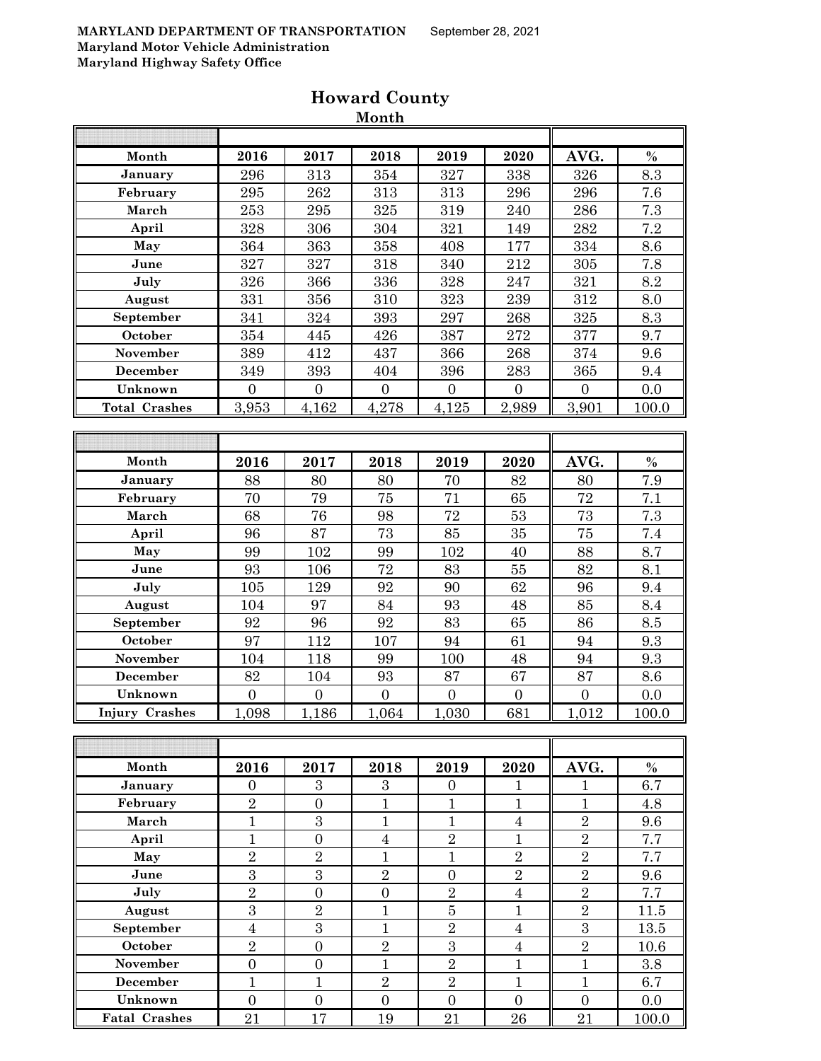|                       |                  |                  | wivilui          |                  |                  |                  |                  |
|-----------------------|------------------|------------------|------------------|------------------|------------------|------------------|------------------|
|                       |                  |                  |                  |                  |                  |                  |                  |
| Month                 | 2016             | 2017             | 2018             | 2019             | 2020             | AVG.             | $\%$             |
| January               | 296              | 313              | $\overline{3}54$ | 327              | 338              | 326              | 8.3              |
| February              | 295              | 262              | 313              | 313              | 296              | 296              | 7.6              |
| March                 | 253              | 295              | 325              | 319              | 240              | 286              | 7.3              |
| April                 | 328              | 306              | 304              | 321              | 149              | 282              | 7.2              |
| May                   | 364              | 363              | 358              | 408              | 177              | 334              | 8.6              |
| June                  | 327              | 327              | 318              | 340              | 212              | 305              | 7.8              |
| July                  | 326              | 366              | 336              | 328              | 247              | 321              | 8.2              |
| August                | 331              | 356              | $310\,$          | 323              | 239              | 312              | 8.0              |
| September             | 341              | 324              | 393              | 297              | 268              | 325              | 8.3              |
| October               | 354              | 445              | 426              | 387              | 272              | 377              | 9.7              |
| November              | 389              | 412              | 437              | 366              | 268              | 374              | 9.6              |
| December              | 349              | 393              | 404              | 396              | 283              | 365              | 9.4              |
| Unknown               | $\overline{0}$   | $\overline{0}$   | $\overline{0}$   | $\boldsymbol{0}$ | $\boldsymbol{0}$ | $\boldsymbol{0}$ | 0.0              |
| <b>Total Crashes</b>  | 3,953            | 4,162            | 4,278            | 4,125            | 2,989            | 3,901            | 100.0            |
|                       |                  |                  |                  |                  |                  |                  |                  |
|                       |                  |                  |                  |                  |                  |                  |                  |
| Month                 | 2016             | 2017             | 2018             | 2019             | 2020             | AVG.             | $\%$             |
| January               | 88               | 80               | 80               | 70               | 82               | 80               | $\overline{7.9}$ |
| February              | 70               | 79               | 75               | 71               | 65               | 72               | 7.1              |
| March                 | 68               | 76               | 98               | 72               | 53               | 73               | 7.3              |
| April                 | 96               | 87               | 73               | 85               | 35               | 75               | $7.4\,$          |
| May                   | 99               | 102              | 99               | 102              | 40               | 88               | 8.7              |
| June                  | 93               | 106              | 72               | 83               | 55               | 82               | 8.1              |
| July                  | 105              | 129              | 92               | 90               | 62               | 96               | 9.4              |
| August                | 104              | 97               | 84               | 93               | 48               | 85               | 8.4              |
| September             | 92               | 96               | 92               | 83               | 65               | 86               | 8.5              |
| October               | 97               | 112              | 107              | 94               | 61               | 94               | 9.3              |
| November              | 104              | 118              | 99               | 100              | 48               | 94               | 9.3              |
| December              | 82               | 104              | 93               | 87               | 67               | 87               | 8.6              |
| Unknown               | $\boldsymbol{0}$ | $\overline{0}$   | $\overline{0}$   | $\boldsymbol{0}$ | $\boldsymbol{0}$ | $\boldsymbol{0}$ | 0.0              |
| <b>Injury Crashes</b> | 1,098            | 1,186            | 1,064            | 1,030            | 681              | 1,012            | 100.0            |
|                       |                  |                  |                  |                  |                  |                  |                  |
|                       |                  |                  |                  |                  |                  |                  |                  |
| Month                 | 2016             | 2017             | 2018             | 2019             | 2020             | AVG.             | $\%$             |
| January               | $\overline{0}$   | 3                | 3                | $\overline{0}$   | 1                | $\mathbf{1}$     | 6.7              |
| February              | $\overline{2}$   | $\overline{0}$   | $\mathbf{1}$     | $\mathbf{1}$     | $\mathbf{1}$     | $\mathbf{1}$     | 4.8              |
| March                 | $\mathbf{1}$     | $\sqrt{3}$       | $\mathbf{1}$     | $\mathbf{1}$     | $\boldsymbol{4}$ | $\sqrt{2}$       | 9.6              |
| April                 | $\mathbf{1}$     | $\boldsymbol{0}$ | $\overline{4}$   | $\sqrt{2}$       | $1\,$            | $\sqrt{2}$       | 7.7              |
| May                   | $\overline{2}$   | $\overline{2}$   | $\mathbf{1}$     | $\overline{1}$   | $\overline{2}$   | $\overline{2}$   | 7.7              |
| June                  | 3                | 3                | $\overline{2}$   | $\overline{0}$   | $\sqrt{2}$       | $\overline{2}$   | 9.6              |
| July                  | $\overline{2}$   | $\overline{0}$   | $\overline{0}$   | $\overline{2}$   | $\overline{4}$   | $\overline{2}$   | 7.7              |
| August                | 3                | $\overline{2}$   | $\mathbf{1}$     | $\bf 5$          | $\mathbf{1}$     | $\overline{2}$   | 11.5             |
| September             | $\overline{4}$   | 3                | $\mathbf{1}$     | $\sqrt{2}$       | $\overline{4}$   | $\overline{3}$   | 13.5             |
| October               | $\overline{2}$   | $\overline{0}$   | $\overline{2}$   | 3                | $\overline{4}$   | $\overline{2}$   | 10.6             |
| November              | $\overline{0}$   | $\overline{0}$   | $\mathbf{1}$     | $\overline{2}$   | $\mathbf{1}$     | $\mathbf{1}$     | 3.8              |
| December              | $\mathbf{1}$     | $\mathbf{1}$     | $\sqrt{2}$       | $\sqrt{2}$       | $\mathbf{1}$     | $\mathbf{1}$     | 6.7              |
| Unknown               | $\overline{0}$   | $\overline{0}$   | $\overline{0}$   | $\overline{0}$   | $\overline{0}$   | $\boldsymbol{0}$ | 0.0              |
| <b>Fatal Crashes</b>  | 21               | 17               | 19               | 21               | 26               | 21               | 100.0            |

## **Howard County Month**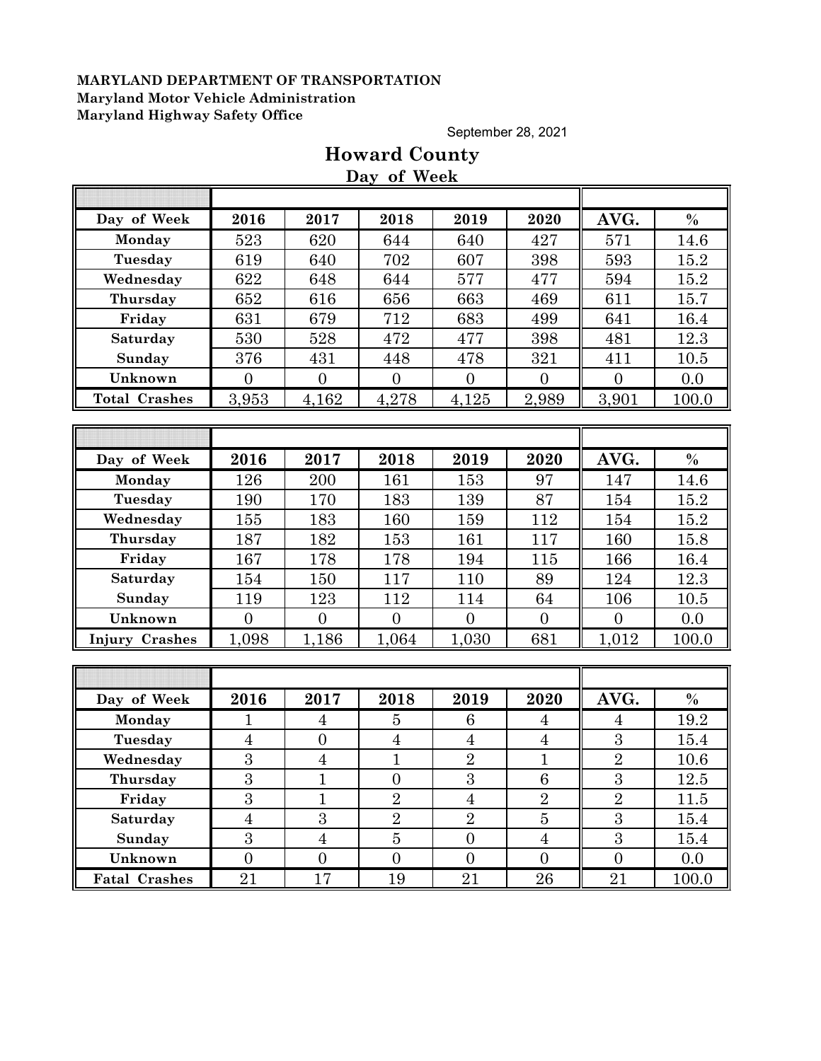September 28, 2021

|                       |                |                  | Day of Week      |                  |                |                  |               |
|-----------------------|----------------|------------------|------------------|------------------|----------------|------------------|---------------|
|                       |                |                  |                  |                  |                |                  |               |
| Day of Week           | 2016           | 2017             | 2018             | 2019             | 2020           | AVG.             | $\frac{0}{0}$ |
| Monday                | 523            | 620              | 644              | 640              | 427            | 571              | 14.6          |
| Tuesday               | 619            | 640              | 702              | 607              | 398            | 593              | 15.2          |
| Wednesday             | 622            | 648              | 644              | 577              | 477            | 594              | 15.2          |
| Thursday              | 652            | 616              | 656              | 663              | 469            | 611              | 15.7          |
| Friday                | 631            | 679              | 712              | 683              | 499            | 641              | 16.4          |
| Saturday              | 530            | 528              | 472              | 477              | 398            | 481              | 12.3          |
| Sunday                | 376            | 431              | 448              | 478              | 321            | 411              | 10.5          |
| Unknown               | $\overline{0}$ | $\overline{0}$   | $\overline{0}$   | $\overline{0}$   | $\overline{0}$ | $\overline{0}$   | 0.0           |
| <b>Total Crashes</b>  | 3,953          | 4,162            | 4,278            | 4,125            | 2,989          | 3,901            | 100.0         |
|                       |                |                  |                  |                  |                |                  |               |
|                       |                |                  |                  |                  |                |                  |               |
| Day of Week           | 2016           | 2017             | 2018             | 2019             | 2020           | AVG.             | $\frac{0}{0}$ |
| Monday                | 126            | 200              | 161              | 153              | 97             | 147              | 14.6          |
| Tuesday               | 190            | 170              | 183              | 139              | 87             | 154              | 15.2          |
| Wednesday             | 155            | 183              | 160              | 159              | 112            | 154              | 15.2          |
| Thursday              | 187            | 182              | 153              | 161              | 117            | 160              | 15.8          |
| Friday                | 167            | 178              | 178              | 194              | 115            | 166              | 16.4          |
| Saturday              | 154            | 150              | 117              | 110              | 89             | 124              | 12.3          |
| Sunday                | 119            | 123              | 112              | 114              | 64             | 106              | 10.5          |
| Unknown               | $\overline{0}$ | $\mathbf{0}$     | $\overline{0}$   | $\overline{0}$   | $\overline{0}$ | $\overline{0}$   | 0.0           |
| <b>Injury Crashes</b> | 1,098          | 1,186            | 1,064            | 1,030            | 681            | 1,012            | 100.0         |
|                       |                |                  |                  |                  |                |                  |               |
|                       |                |                  |                  |                  |                |                  |               |
| Day of Week           | 2016           | 2017             | 2018             | 2019             | 2020           | AVG.             | $\frac{0}{0}$ |
| Monday                | $\mathbf{1}$   | $\overline{4}$   | $\bf 5$          | 6                | $\overline{4}$ | $\overline{4}$   | 19.2          |
| Tuesday               | $\overline{4}$ | $\boldsymbol{0}$ | $\overline{4}$   | $\overline{4}$   | $\overline{4}$ | $\sqrt{3}$       | 15.4          |
| Wednesday             | $\overline{3}$ | $\overline{4}$   | $\mathbf{1}$     | $\overline{2}$   | $\mathbf{1}$   | $\sqrt{2}$       | 10.6          |
| Thursday              | $\overline{3}$ | T                | $\boldsymbol{0}$ | 3                | 6              | $\boldsymbol{3}$ | 12.5          |
| Friday                | $\overline{3}$ | $\overline{1}$   | $\overline{2}$   | $\overline{4}$   | $\overline{2}$ | $\overline{2}$   | 11.5          |
| Saturday              | $\overline{4}$ | $\overline{3}$   | $\overline{2}$   | $\overline{2}$   | $\overline{5}$ | 3                | 15.4          |
| Sunday                | $\overline{3}$ | $\overline{4}$   | $\overline{5}$   | $\overline{0}$   | $\overline{4}$ | 3                | 15.4          |
| Unknown               | $\overline{0}$ | $\boldsymbol{0}$ | $\boldsymbol{0}$ | $\boldsymbol{0}$ | $\overline{0}$ | $\boldsymbol{0}$ | 0.0           |
| <b>Fatal Crashes</b>  | 21             | 17               | 19               | 21               | 26             | 21               | 100.0         |

## **Howard County Day of Week**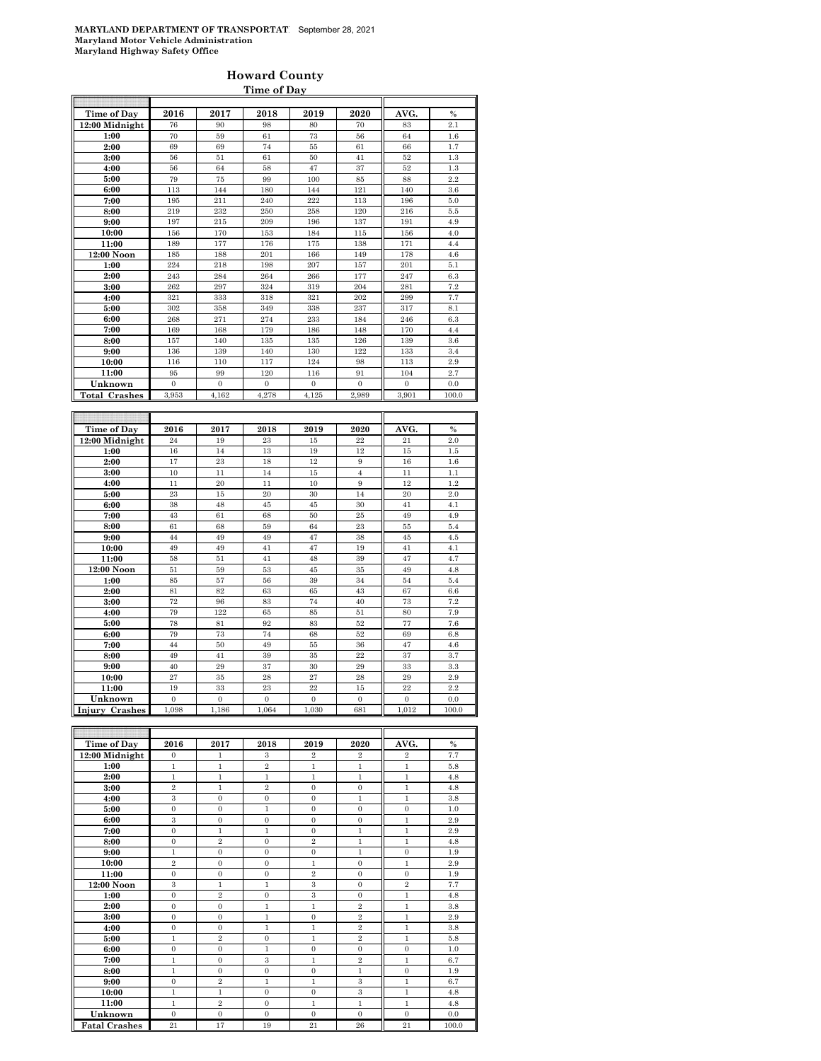#### **Howard County Time of Day**

| Time of Day                      | 2016                  | 2017                  | 2018                  | 2019                    | 2020                | AVG.                  | $\%$          |
|----------------------------------|-----------------------|-----------------------|-----------------------|-------------------------|---------------------|-----------------------|---------------|
| $12:00$ Midnight                 | 76                    | 90                    | 98                    | 80                      | 70                  | 83                    | 2.1           |
| 1:00                             | 70                    | 59                    | 61                    | 73                      | 56                  | 64                    | 1.6           |
| 2:00                             | 69                    | 69                    | 74                    | 55                      | 61                  | 66                    | 1.7           |
| 3:00                             | 56                    | 51                    | 61                    | 50                      | 41                  | 52                    | 1.3           |
| 4:00                             | 56                    | 64                    | 58                    | 47                      | 37                  | $52\,$                | 1.3           |
| 5:00                             | 79                    | 75                    | 99                    | 100                     | 85                  | 88                    | 2.2           |
| 6:00                             | 113                   | 144                   | 180                   | 144                     | 121                 | 140                   | 3.6           |
| 7:00                             | 195                   | 211                   | 240                   | 222                     | 113                 | 196                   | 5.0           |
| 8:00                             | 219                   | 232                   | 250                   | 258                     | 120                 | 216                   | 5.5           |
| 9:00                             | 197                   | 215                   | 209                   | 196                     | 137                 | 191                   | 4.9           |
| 10:00                            | 156                   | 170                   | 153                   | 184                     | 115                 | 156                   | 4.0           |
| 11:00                            | 189                   | 177                   | 176                   | 175                     | 138                 | 171                   | 4.4           |
| 12:00 Noon                       | 185                   | 188                   | 201                   | 166                     | 149                 | 178                   | 4.6           |
| 1:00                             | 224                   | 218                   | 198                   | 207                     | 157                 | 201                   | 5.1           |
| 2:00                             | 243                   | 284                   | 264                   | 266                     | 177                 | 247                   | 6.3           |
| 3:00                             | 262                   | 297                   | 324                   | 319                     | 204                 | 281                   | 7.2           |
| 4:00                             | 321                   | 333                   | 318                   | 321                     | 202                 | 299                   | 7.7           |
| 5:00                             | 302                   | 358                   | 349                   | 338                     | 237                 | 317                   | 8.1           |
| 6:00                             | 268                   | 271                   | 274                   | 233                     | 184                 | 246                   | 6.3           |
| 7:00                             | 169                   | 168                   | 179                   | 186                     | 148                 | 170                   | 4.4           |
| 8:00                             | 157                   | 140                   | 135                   | 135                     | 126                 | 139                   | 3.6           |
| 9:00                             | 136                   | 139                   | 140                   | 130                     | 122                 | 133                   | 3.4           |
| 10:00                            | 116                   | 110                   | 117                   | 124                     | 98                  | 113                   | 2.9           |
| 11:00                            | 95                    | 99                    | 120                   | 116                     | 91                  | 104                   | 2.7           |
| Unknown                          | $\theta$              | $\overline{0}$        | $\theta$              | $\overline{0}$          | $\overline{0}$      | $\theta$              | 0.0           |
| Total Crashes                    | 3,953                 | 4,162                 | 4,278                 | 4,125                   | 2,989               | 3,901                 | 100.0         |
|                                  |                       |                       |                       |                         |                     |                       |               |
|                                  |                       |                       |                       |                         |                     |                       |               |
| Time of Day                      | 2016                  | 2017                  | 2018                  | 2019                    | 2020                | AVG.                  | $\frac{0}{0}$ |
| 12:00 Midnight                   | 24                    | 19                    | 23                    | 15                      | 22                  | 21                    | 2.0           |
| 1:00                             | 16                    | 14                    | 13                    | 19                      | 12                  | 15                    | 1.5           |
| 2:00                             | 17                    | 23                    | 18                    | 12                      | 9                   | 16                    | 1.6           |
| 3:00                             | 10                    | 11                    | 14                    | 15                      | $\overline{4}$      | 11                    | 1.1           |
| 4:00                             | 11                    | 20                    | 11                    | 10                      | 9                   | 12                    | 1.2           |
| 5:00                             | 23                    | 15                    | 20                    | 30                      | 14                  | 20                    | 2.0           |
| 6:00                             | 38                    | 48                    | 45                    | 45                      | 30                  | 41                    | 4.1           |
| 7:00                             | 43                    | 61                    | 68                    | 50                      | 25                  | 49                    | 4.9           |
| 8:00                             | 61                    | 68                    | 59                    | 64                      | 23                  | 55                    | 5.4           |
| 9:00                             | 44                    | 49                    | 49                    | 47                      | 38                  | 45                    | 4.5           |
| 10:00                            | 49                    | 49                    | 41                    | 47                      | 19                  | 41                    | 4.1           |
| 11:00                            | 58                    | 51                    | 41                    | 48                      | 39                  | 47                    | 4.7           |
| 12:00 Noon                       | 51                    | 59                    | 53                    | 45                      | 35                  | 49                    | 4.8           |
| 1:00                             | 85                    | 57                    | 56                    | 39                      | 34                  | 54                    | 5.4           |
| 2:00                             |                       |                       |                       |                         |                     |                       | 6.6           |
|                                  | 81                    | 82                    | 63                    | 65                      | 43                  | 67                    |               |
| 3:00                             | 72                    | 96                    | 83                    | 74                      | 40                  | 73                    | 7.2           |
| 4:00                             | 79                    | 122                   | 65                    | 85                      | 51                  | 80                    | 7.9           |
| 5:00                             | 78                    | 81                    | 92                    | 83                      | 52                  | 77                    | 7.6           |
| 6:00                             | 79                    | 73                    | 74                    | 68                      | 52                  | 69                    | 6.8           |
| 7:00                             | 44                    | 50                    | 49                    | 55                      | 36                  | 47                    | 4.6           |
| 8:00                             | 49                    | 41                    | 39                    | 35                      | 22                  | 37                    | 3.7           |
| 9:00                             | 40                    | 29                    | 37                    | 30                      | 29                  | 33                    | 3.3           |
| 10:00                            | 27                    | 35                    | 28                    | 27                      | 28                  | 29                    | 2.9           |
| 11:00                            | 19                    | 33                    | 23                    | $^{22}$                 | 15                  | $^{22}$               | 2.2           |
| Unknown<br><b>Injury Crashes</b> | $\mathbf{0}$<br>1.098 | $\mathbf{0}$<br>1,186 | $\mathbf{0}$<br>1,064 | $\overline{0}$<br>1,030 | $\mathbf{0}$<br>681 | $\mathbf{0}$<br>1,012 | 0.0<br>100.0  |

| Time of Day          | 2016           | 2017           | 2018           | 2019           | 2020           | AVG.           | $\%$  |
|----------------------|----------------|----------------|----------------|----------------|----------------|----------------|-------|
| 12:00 Midnight       | $\mathbf{0}$   | 1              | 3              | $\overline{2}$ | $\overline{2}$ | $\overline{2}$ | 7.7   |
| 1:00                 | $\mathbf{1}$   | $\mathbf{1}$   | $\overline{2}$ | $\mathbf{1}$   | $\mathbf{1}$   | $\mathbf{1}$   | 5.8   |
| 2:00                 | $\mathbf{1}$   | $\mathbf{1}$   | 1              | $\mathbf{1}$   | $\mathbf{1}$   | $\mathbf{1}$   | 4.8   |
| 3:00                 | $\overline{2}$ | $\mathbf{1}$   | $\overline{2}$ | $\Omega$       | $\Omega$       | $\mathbf{1}$   | 4.8   |
| 4:00                 | 3              | $\overline{0}$ | $\overline{0}$ | $\mathbf{0}$   | $\mathbf{1}$   | $\mathbf{1}$   | 3.8   |
| 5:00                 | $\mathbf{0}$   | $\mathbf{0}$   | 1              | $\mathbf{0}$   | $\mathbf{0}$   | $\mathbf{0}$   | 1.0   |
| 6:00                 | 3              | $\Omega$       | $\overline{0}$ | $\Omega$       | $\Omega$       | $\mathbf{1}$   | 2.9   |
| 7:00                 | $\mathbf{0}$   | $\mathbf{1}$   | $\mathbf{1}$   | $\mathbf{0}$   | $\mathbf{1}$   | $\mathbf{1}$   | 2.9   |
| 8:00                 | $\mathbf{0}$   | $\overline{2}$ | $\overline{0}$ | $\overline{2}$ | $\mathbf{1}$   | 1              | 4.8   |
| 9:00                 | 1              | $\theta$       | $\Omega$       | $\Omega$       | $\mathbf{1}$   | $\Omega$       | 1.9   |
| 10:00                | $\overline{2}$ | $\Omega$       | $\overline{0}$ | $\mathbf{1}$   | $\mathbf{0}$   | $\mathbf{1}$   | 2.9   |
| 11:00                | $\mathbf{0}$   | $\overline{0}$ | $\overline{0}$ | $\overline{2}$ | $\mathbf{0}$   | $\mathbf{0}$   | 1.9   |
| 12:00 Noon           | 3              | $\mathbf{1}$   | $\mathbf{1}$   | 3              | $\Omega$       | $\overline{2}$ | 7.7   |
| 1:00                 | $\mathbf{0}$   | $\overline{2}$ | $\mathbf{0}$   | 3              | $\mathbf{0}$   | 1              | 4.8   |
| 2:00                 | $\mathbf{0}$   | $\overline{0}$ | $\mathbf{1}$   | $\mathbf{1}$   | $\overline{2}$ | $\mathbf{1}$   | 3.8   |
| 3:00                 | $\mathbf{0}$   | $\Omega$       | $\mathbf{1}$   | $\mathbf{0}$   | $\overline{2}$ | $\mathbf{1}$   | 2.9   |
| 4:00                 | $\mathbf{0}$   | $\mathbf{0}$   | 1              | $\mathbf{1}$   | $\overline{2}$ | 1              | 3.8   |
| 5:00                 | $\mathbf{1}$   | $\overline{2}$ | $\overline{0}$ | $\mathbf{1}$   | $\overline{2}$ | $\mathbf{1}$   | 5.8   |
| 6:00                 | $\overline{0}$ | $\theta$       | $\mathbf{1}$   | $\mathbf{0}$   | $\Omega$       | $\overline{0}$ | 1.0   |
| 7:00                 | $\mathbf{1}$   | $\mathbf{0}$   | 3              | $\mathbf{1}$   | $\overline{2}$ | $\mathbf{1}$   | 6.7   |
| 8:00                 | $\mathbf{1}$   | $\mathbf{0}$   | $\overline{0}$ | $\mathbf{0}$   | $\mathbf{1}$   | $\mathbf{0}$   | 1.9   |
| 9:00                 | $\mathbf{0}$   | $\overline{2}$ | $\mathbf{1}$   | $\mathbf{1}$   | 3              | $\mathbf{1}$   | 6.7   |
| 10:00                | $\mathbf{1}$   | $\mathbf{1}$   | $\mathbf{0}$   | $\mathbf{0}$   | 3              | $\mathbf{1}$   | 4.8   |
| 11:00                | $\mathbf{1}$   | $\overline{2}$ | $\Omega$       | $\mathbf{1}$   | $\mathbf{1}$   | $\mathbf{1}$   | 4.8   |
| Unknown              | $\Omega$       | $\Omega$       | $\Omega$       | $\Omega$       | $\Omega$       | $\Omega$       | 0.0   |
| <b>Fatal Crashes</b> | 21             | 17             | 19             | 21             | 26             | 21             | 100.0 |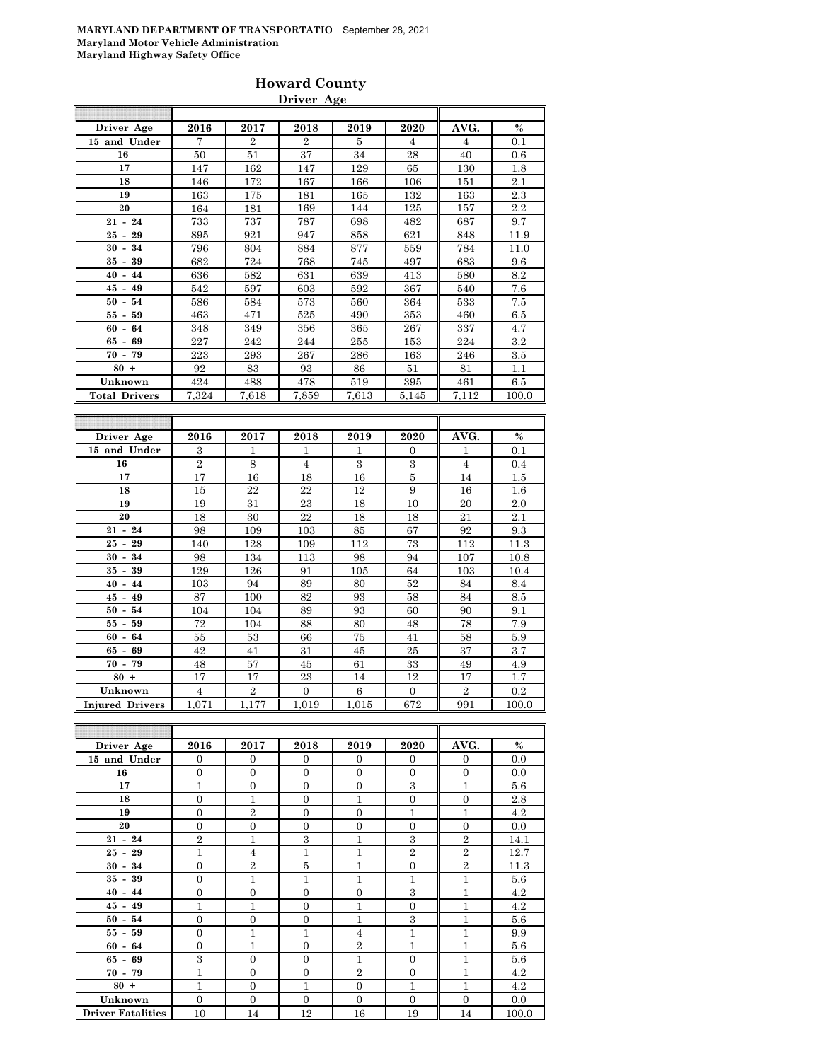#### **Howard County Driver Age**

| Driver Age           | 2016  | 2017           | 2018           | 2019  | 2020           | AVG.  | $\frac{0}{0}$ |
|----------------------|-------|----------------|----------------|-------|----------------|-------|---------------|
| 15 and Under         | 7     | $\overline{2}$ | $\overline{2}$ | 5     | $\overline{4}$ | 4     | 0.1           |
| 16                   | 50    | 51             | 37             | 34    | 28             | 40    | 0.6           |
| 17                   | 147   | 162            | 147            | 129   | 65             | 130   | 1.8           |
| 18                   | 146   | 172            | 167            | 166   | 106            | 151   | 2.1           |
| 19                   | 163   | 175            | 181            | 165   | 132            | 163   | 2.3           |
| 20                   | 164   | 181            | 169            | 144   | 125            | 157   | 2.2           |
| $21 - 24$            | 733   | 737            | 787            | 698   | 482            | 687   | 9.7           |
| $25 - 29$            | 895   | 921            | 947            | 858   | 621            | 848   | 11.9          |
| $30 -$<br>34         | 796   | 804            | 884            | 877   | 559            | 784   | 11.0          |
| 39<br>$35 -$         | 682   | 724            | 768            | 745   | 497            | 683   | 9.6           |
| $40 -$<br>44         | 636   | 582            | 631            | 639   | 413            | 580   | 8.2           |
| $45 - 49$            | 542   | 597            | 603            | 592   | 367            | 540   | 7.6           |
| 54<br>$50 -$         | 586   | 584            | 573            | 560   | 364            | 533   | 7.5           |
| 55 -<br>59           | 463   | 471            | 525            | 490   | 353            | 460   | 6.5           |
| $60 - 64$            | 348   | 349            | 356            | 365   | 267            | 337   | 4.7           |
| 65 -<br>69           | 227   | 242            | 244            | 255   | 153            | 224   | 3.2           |
| $70 - 79$            | 223   | 293            | 267            | 286   | 163            | 246   | 3.5           |
| $80 +$               | 92    | 83             | 93             | 86    | 51             | 81    | 1.1           |
| Unknown              | 424   | 488            | 478            | 519   | 395            | 461   | 6.5           |
| <b>Total Drivers</b> | 7,324 | 7,618          | 7,859          | 7,613 | 5,145          | 7,112 | 100.0         |
|                      |       |                |                |       |                |       |               |
|                      |       |                |                |       |                |       |               |

| Driver Age                           | 2016           | 2017           | 2018           | 2019  | 2020         | AVG.           | $\%$    |
|--------------------------------------|----------------|----------------|----------------|-------|--------------|----------------|---------|
| 15 and Under                         | 3              | 1              | 1              | 1     | $\mathbf{0}$ | 1              | 0.1     |
| 16                                   | $\overline{2}$ | 8              | $\overline{4}$ | 3     | 3            | $\overline{4}$ | 0.4     |
| 17                                   | 17             | 16             | 18             | 16    | 5            | 14             | 1.5     |
| 18                                   | 15             | 22             | 22             | 12    | 9            | 16             | 1.6     |
| 19                                   | 19             | 31             | 23             | 18    | 10           | 20             | 2.0     |
| 20                                   | 18             | 30             | 22             | 18    | 18           | 21             | 2.1     |
| 24<br>$21 -$                         | 98             | 109            | 103            | 85    | 67           | 92             | 9.3     |
| 29<br>25<br>$\overline{\phantom{a}}$ | 140            | 128            | 109            | 112   | 73           | 112            | 11.3    |
| 34<br>30<br>$\blacksquare$           | 98             | 134            | 113            | 98    | 94           | 107            | 10.8    |
| 35<br>39<br>$\overline{\phantom{a}}$ | 129            | 126            | 91             | 105   | 64           | 103            | 10.4    |
| $40 - 44$                            | 103            | 94             | 89             | 80    | 52           | 84             | 8.4     |
| 45 -<br>49                           | 87             | 100            | 82             | 93    | 58           | 84             | 8.5     |
| 54<br>$50 -$                         | 104            | 104            | 89             | 93    | 60           | 90             | 9.1     |
| 59<br>55 -                           | 72             | 104            | 88             | 80    | 48           | 78             | 7.9     |
| 64<br>$60 -$                         | 55             | 53             | 66             | 75    | 41           | 58             | 5.9     |
| 69<br>65 -                           | 42             | 41             | 31             | 45    | 25           | 37             | $3.7\,$ |
| 79<br>70 -                           | 48             | 57             | 45             | 61    | 33           | 49             | 4.9     |
| $80 +$                               | 17             | 17             | 23             | 14    | 12           | 17             | 1.7     |
| Unknown                              | $\overline{4}$ | $\overline{2}$ | $\overline{0}$ | 6     | $\mathbf{0}$ | $\overline{2}$ | 0.2     |
| <b>Injured Drivers</b>               | 1,071          | 1,177          | 1,019          | 1,015 | 672          | 991            | 100.0   |

| Driver Age               | 2016           | 2017           | 2018           | 2019           | 2020           | AVG.           | $\%$  |
|--------------------------|----------------|----------------|----------------|----------------|----------------|----------------|-------|
| 15 and Under             | $\overline{0}$ | $\theta$       | $\Omega$       | $\Omega$       | $\mathbf{0}$   | $\mathbf{0}$   | 0.0   |
| 16                       | $\overline{0}$ | $\overline{0}$ | $\Omega$       | $\theta$       | $\overline{0}$ | $\overline{0}$ | 0.0   |
| 17                       | 1              | $\overline{0}$ | $\overline{0}$ | $\theta$       | 3              | 1              | 5.6   |
| 18                       | $\overline{0}$ | $\mathbf{1}$   | $\Omega$       | 1              | $\overline{0}$ | $\overline{0}$ | 2.8   |
| 19                       | $\overline{0}$ | $\overline{2}$ | $\Omega$       | $\theta$       | $\mathbf{1}$   | 1              | 4.2   |
| 20                       | $\overline{0}$ | $\overline{0}$ | $\Omega$       | $\theta$       | $\overline{0}$ | $\Omega$       | 0.0   |
| $21 - 24$                | $\overline{2}$ | $\mathbf{1}$   | 3              | 1              | 3              | $\overline{2}$ | 14.1  |
| $25 - 29$                | 1              | $\overline{4}$ | 1              | 1              | $\overline{2}$ | $\overline{2}$ | 12.7  |
| $30 - 34$                | $\overline{0}$ | $\overline{2}$ | 5              | 1              | $\overline{0}$ | $\overline{2}$ | 11.3  |
| $35 - 39$                | $\overline{0}$ | $\mathbf{1}$   | 1              | 1              | 1              | $\overline{1}$ | 5.6   |
| $40 - 44$                | $\overline{0}$ | $\overline{0}$ | $\Omega$       | $\theta$       | 3              | 1              | 4.2   |
| $45 - 49$                | $\mathbf 1$    | $\mathbf{1}$   | $\Omega$       | $\mathbf{1}$   | $\overline{0}$ | 1              | 4.2   |
| $50 - 54$                | $\overline{0}$ | $\overline{0}$ | $\overline{0}$ | $\mathbf{1}$   | 3              | 1              | 5.6   |
| $55 - 59$                | $\overline{0}$ | $\overline{1}$ | 1              | $\overline{4}$ | $\mathbf{1}$   | 1              | 9.9   |
| $60 - 64$                | $\overline{0}$ | 1              | $\Omega$       | $\overline{2}$ | 1              | 1              | 5.6   |
| $65 - 69$                | 3              | $\overline{0}$ | $\Omega$       | 1              | $\overline{0}$ | 1              | 5.6   |
| $70 - 79$                | 1              | $\overline{0}$ | $\overline{0}$ | $\overline{2}$ | $\overline{0}$ | 1              | 4.2   |
| $80 +$                   | $\overline{1}$ | $\overline{0}$ | $\mathbf{1}$   | $\theta$       | $\mathbf{1}$   | $\overline{1}$ | 4.2   |
| Unknown                  | $\overline{0}$ | $\overline{0}$ | $\Omega$       | $\Omega$       | $\overline{0}$ | $\overline{0}$ | 0.0   |
| <b>Driver Fatalities</b> | 10             | 14             | 12             | 16             | 19             | 14             | 100.0 |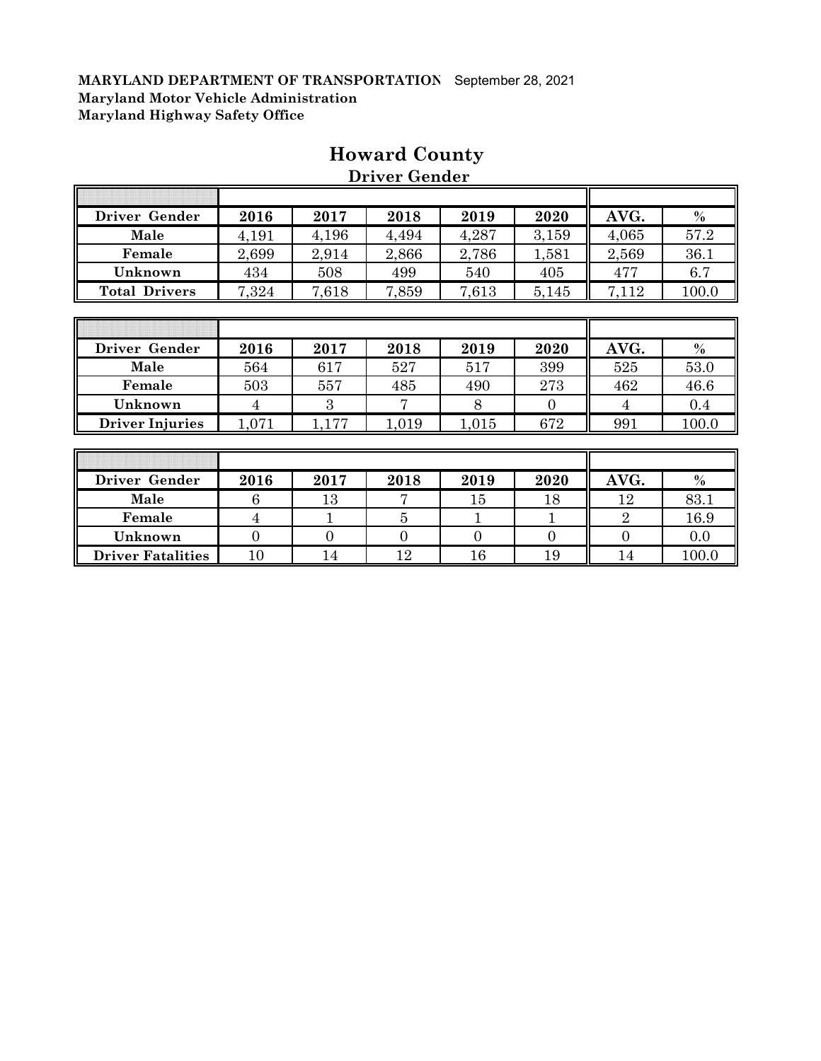T

Г

| Driver Gender        | 2016  | 2017  | 2018  | 2019  | 2020     | AVG.  | $\%$  |
|----------------------|-------|-------|-------|-------|----------|-------|-------|
| Male                 | 4,191 | 4,196 | 4,494 | 4,287 | 3,159    | 4,065 | 57.2  |
| Female               | 2,699 | 2,914 | 2,866 | 2,786 | 1,581    | 2,569 | 36.1  |
| Unknown              | 434   | 508   | 499   | 540   | 405      | 477   | 6.7   |
| <b>Total Drivers</b> | 7,324 | 7,618 | 7,859 | 7,613 | 5,145    | 7,112 | 100.0 |
|                      |       |       |       |       |          |       |       |
|                      |       |       |       |       |          |       |       |
|                      |       |       |       |       |          |       |       |
| Driver Gender        | 2016  | 2017  | 2018  | 2019  | 2020     | AVG.  | $\%$  |
| Male                 | 564   | 617   | 527   | 517   | 399      | 525   | 53.0  |
| Female               | 503   | 557   | 485   | 490   | 273      | 462   | 46.6  |
| Unknown              | 4     | 3     | 7     | 8     | $\Omega$ | 4     | 0.4   |

# **Howard County**

 **Driver Gender**

 $\overline{\mathbb{T}}$ 

╗

| Driver Gender            | 2016   | 2017 | 2018 | 2019 | 2020 | AVG. | $\frac{0}{0}$ |
|--------------------------|--------|------|------|------|------|------|---------------|
| Male                     |        | 13   |      | 15   | 18   | 12   | 83.1          |
| Female                   |        |      |      |      |      |      | 16.9          |
| Unknown                  |        |      |      |      |      |      | 0.0           |
| <b>Driver Fatalities</b> | $10\,$ | 14   |      | 16   | 19   | 14   | 100.0         |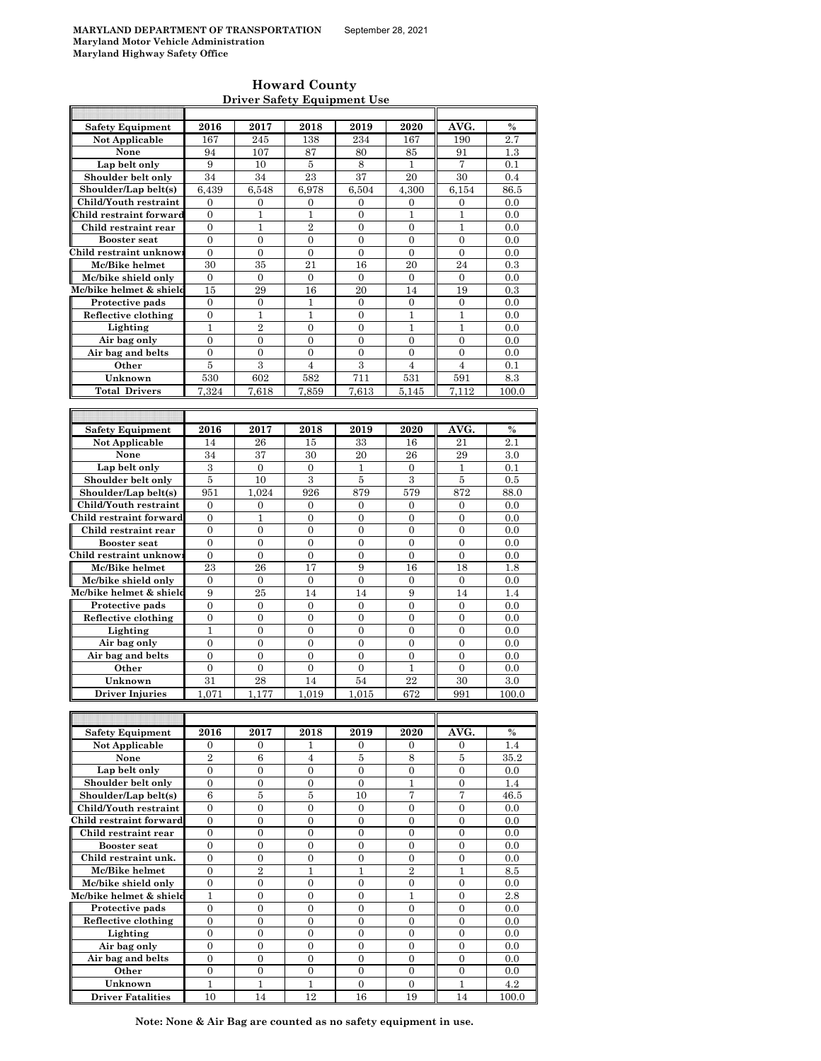### **Howard County Driver Safety Equipment Use**

| <b>Safety Equipment</b>                        | 2016                                 | 2017                                 | 2018                                 | 2019                                 | 2020                                 | AVG.                                 | $\frac{0}{0}$ |
|------------------------------------------------|--------------------------------------|--------------------------------------|--------------------------------------|--------------------------------------|--------------------------------------|--------------------------------------|---------------|
| <b>Not Applicable</b>                          | 167                                  | 245                                  | 138                                  | 234                                  | 167                                  | 190                                  | 2.7           |
| None                                           | 94                                   | 107                                  | 87                                   | 80                                   | 85                                   | 91                                   | 1.3           |
| Lap belt only                                  | 9                                    | 10                                   | 5                                    | 8                                    | 1                                    | 7                                    | 0.1           |
| Shoulder belt only                             | 34                                   | 34                                   | 23                                   | 37                                   | 20                                   | 30                                   | 0.4           |
| Shoulder/Lap belt(s)                           | 6,439                                | 6,548                                | 6,978                                | 6,504                                | 4,300                                | 6,154                                | 86.5          |
| Child/Youth restraint                          | $\boldsymbol{0}$                     | $\boldsymbol{0}$                     | 0                                    | $\boldsymbol{0}$                     | $\mathbf{0}$                         | 0                                    | 0.0           |
| Child restraint forward                        | $\mathbf{0}$                         | $\mathbf{1}$                         | $\mathbf{1}$                         | $\overline{0}$                       | $\mathbf{1}$                         | $\mathbf{1}$                         | 0.0           |
| Child restraint rear                           | $\mathbf{0}$                         | 1                                    | $\overline{2}$                       | $\overline{0}$                       | $\overline{0}$                       | 1                                    | 0.0           |
| <b>Booster seat</b><br>Child restraint unknow  | $\overline{0}$<br>$\mathbf{0}$       | $\mathbf{0}$                         | $\overline{0}$                       | $\overline{0}$                       | $\Omega$                             | $\overline{0}$                       | 0.0           |
| Mc/Bike helmet                                 | 30                                   | $\boldsymbol{0}$<br>35               | $\boldsymbol{0}$<br>21               | 0<br>16                              | $\mathbf{0}$<br>20                   | 0<br>24                              | 0.0<br>0.3    |
| Mc/bike shield only                            | $\mathbf{0}$                         | $\overline{0}$                       | $\overline{0}$                       | $\mathbf{0}$                         | $\mathbf{0}$                         | $\overline{0}$                       | 0.0           |
| Mc/bike helmet & shield                        | 15                                   | 29                                   | 16                                   | 20                                   | 14                                   | 19                                   | 0.3           |
| Protective pads                                | $\overline{0}$                       | $\overline{0}$                       | 1                                    | $\overline{0}$                       | $\mathbf{0}$                         | $\overline{0}$                       | 0.0           |
| Reflective clothing                            | $\overline{0}$                       | 1                                    | 1                                    | $\boldsymbol{0}$                     | 1                                    | $\mathbf{1}$                         | 0.0           |
| Lighting                                       | $\mathbf{1}$                         | $\overline{2}$                       | $\overline{0}$                       | $\overline{0}$                       | 1                                    | $\mathbf{1}$                         | 0.0           |
| Air bag only                                   | $\overline{0}$                       | $\overline{0}$                       | $\overline{0}$                       | $\overline{0}$                       | $\overline{0}$                       | $\overline{0}$                       | 0.0           |
| Air bag and belts                              | $\overline{0}$                       | $\overline{0}$                       | $\overline{0}$                       | $\overline{0}$                       | $\overline{0}$                       | $\overline{0}$                       | 0.0           |
| Other                                          | 5                                    | $\overline{3}$                       | $\overline{4}$                       | 3                                    | $\overline{4}$                       | $\overline{4}$                       | 0.1           |
| Unknown                                        | 530                                  | 602                                  | 582                                  | 711                                  | 531                                  | 591                                  | 8.3           |
| <b>Total Drivers</b>                           | 7,324                                | 7,618                                | 7.859                                | 7,613                                | 5,145                                | 7,112                                | 100.0         |
|                                                |                                      |                                      |                                      |                                      |                                      |                                      |               |
|                                                |                                      |                                      |                                      |                                      |                                      |                                      |               |
| <b>Safety Equipment</b>                        | 2016                                 | 2017                                 | 2018                                 | 2019                                 | 2020                                 | AVG.                                 | $\%$          |
| Not Applicable                                 | 14                                   | 26                                   | 15                                   | 33                                   | 16                                   | 21                                   | 2.1           |
| None                                           | 34                                   | 37                                   | 30                                   | 20                                   | 26                                   | 29                                   | 3.0           |
| Lap belt only                                  | 3                                    | $\mathbf{0}$                         | 0                                    | 1                                    | $\mathbf{0}$                         | 1                                    | 0.1           |
| Shoulder belt only                             | 5                                    | 10                                   | 3                                    | $\overline{5}$                       | 3                                    | $\overline{5}$                       | 0.5           |
| Shoulder/Lap belt(s)                           | 951                                  | 1,024                                | 926                                  | 879                                  | 579                                  | 872                                  | 88.0          |
| Child/Youth restraint                          | $\mathbf{0}$                         | $\overline{0}$                       | $\mathbf{0}$                         | $\overline{0}$                       | $\Omega$                             | $\overline{0}$                       | 0.0           |
| Child restraint forward                        | $\boldsymbol{0}$                     | 1                                    | $\boldsymbol{0}$                     | $\boldsymbol{0}$                     | 0                                    | 0                                    | 0.0           |
| Child restraint rear                           | $\boldsymbol{0}$                     | $\overline{0}$                       | $\mathbf{0}$                         | $\overline{0}$                       | $\overline{0}$                       | $\boldsymbol{0}$                     | 0.0           |
| <b>Booster</b> seat                            | $\mathbf{0}$                         | $\mathbf{0}$                         | $\overline{0}$                       | $\overline{0}$                       | $\overline{0}$                       | $\overline{0}$                       | 0.0           |
| Child restraint unknow                         | 0                                    | $\mathbf{0}$                         | $\boldsymbol{0}$                     | $\boldsymbol{0}$                     | $\mathbf{0}$                         | $\boldsymbol{0}$                     | 0.0           |
| Mc/Bike helmet                                 | 23                                   | 26                                   | 17                                   | 9                                    | 16                                   | 18                                   | 1.8           |
| Mc/bike shield only<br>Mc/bike helmet & shield | $\boldsymbol{0}$<br>9                | $\boldsymbol{0}$<br>25               | 0<br>14                              | $\overline{0}$<br>14                 | $\mathbf{0}$<br>9                    | $\mathbf{0}$<br>14                   | 0.0<br>1.4    |
| Protective pads                                | $\mathbf{0}$                         | $\mathbf{0}$                         | $\overline{0}$                       | $\overline{0}$                       | $\overline{0}$                       | $\overline{0}$                       | 0.0           |
| Reflective clothing                            | $\overline{0}$                       | $\overline{0}$                       | $\overline{0}$                       | $\overline{0}$                       | $\overline{0}$                       | $\overline{0}$                       | 0.0           |
| Lighting                                       | $\mathbf{1}$                         | $\mathbf{0}$                         | $\boldsymbol{0}$                     | $\boldsymbol{0}$                     | 0                                    | $\boldsymbol{0}$                     | 0.0           |
| Air bag only                                   | 0                                    | $\boldsymbol{0}$                     | $\boldsymbol{0}$                     | $\boldsymbol{0}$                     | $\mathbf{0}$                         | 0                                    | 0.0           |
| Air bag and belts                              | $\overline{0}$                       | $\overline{0}$                       | $\overline{0}$                       | $\overline{0}$                       | $\overline{0}$                       | $\overline{0}$                       | 0.0           |
| Other                                          | $\boldsymbol{0}$                     | $\mathbf{0}$                         | 0                                    | 0                                    | 1                                    | $\mathbf{0}$                         | 0.0           |
| Unknown                                        | 31                                   | 28                                   | 14                                   | 54                                   | 22                                   | 30                                   | 3.0           |
| <b>Driver Injuries</b>                         | 1,071                                | 1,177                                | 1,019                                | 1.015                                | 672                                  | 991                                  | 100.0         |
|                                                |                                      |                                      |                                      |                                      |                                      |                                      |               |
|                                                |                                      |                                      |                                      |                                      |                                      |                                      |               |
| <b>Safety Equipment</b>                        | 2016                                 | 2017                                 | 2018                                 | 2019                                 | 2020                                 | AVG.                                 | %             |
| Not Applicable                                 | 0                                    | 0                                    | 1                                    | 0                                    | 0                                    | 0                                    | 1.4           |
| None                                           | 2                                    | 6                                    | 4                                    | 5                                    | 8                                    | 5                                    | 35.2          |
| Lap belt only                                  | $\boldsymbol{0}$                     | 0                                    | $\boldsymbol{0}$                     | $\mathbf{0}$                         | $\overline{0}$                       | $\boldsymbol{0}$                     | 0.0           |
| Shoulder belt only                             | $\boldsymbol{0}$                     | $\boldsymbol{0}$                     | $\boldsymbol{0}$                     | $\boldsymbol{0}$                     | 1                                    | 0                                    | 1.4           |
| Shoulder/Lap belt(s)<br>Child/Youth restraint  | 6                                    | 5                                    | 5                                    | 10                                   | 7                                    | 7                                    | 46.5          |
| Child restraint forward                        | $\boldsymbol{0}$<br>$\boldsymbol{0}$ | $\boldsymbol{0}$<br>$\boldsymbol{0}$ | $\boldsymbol{0}$<br>$\boldsymbol{0}$ | $\boldsymbol{0}$<br>$\boldsymbol{0}$ | $\boldsymbol{0}$<br>$\boldsymbol{0}$ | $\boldsymbol{0}$<br>$\boldsymbol{0}$ | 0.0<br>0.0    |
| Child restraint rear                           | $\boldsymbol{0}$                     | $\boldsymbol{0}$                     | $\boldsymbol{0}$                     | $\boldsymbol{0}$                     | $\mathbf{0}$                         | $\boldsymbol{0}$                     | 0.0           |
| <b>Booster seat</b>                            | $\boldsymbol{0}$                     | 0                                    | $\boldsymbol{0}$                     | $\boldsymbol{0}$                     | $\boldsymbol{0}$                     | $\boldsymbol{0}$                     | 0.0           |
| Child restraint unk.                           | $\mathbf{0}$                         | $\overline{0}$                       | $\boldsymbol{0}$                     | $\boldsymbol{0}$                     | $\overline{0}$                       | $\overline{0}$                       | 0.0           |
| Mc/Bike helmet                                 | $\mathbf{0}$                         | $\overline{2}$                       | 1                                    | 1                                    | $\overline{2}$                       | 1                                    | 8.5           |
| Mc/bike shield only                            | $\boldsymbol{0}$                     | 0                                    | $\boldsymbol{0}$                     | $\boldsymbol{0}$                     | $\overline{0}$                       | $\boldsymbol{0}$                     | 0.0           |
| Mc/bike helmet & shield                        | $\mathbf{1}$                         | $\boldsymbol{0}$                     | $\boldsymbol{0}$                     | $\boldsymbol{0}$                     | 1                                    | $\boldsymbol{0}$                     | 2.8           |
| Protective pads                                | 0                                    | 0                                    | 0                                    | 0                                    | $\mathbf{0}$                         | 0                                    | 0.0           |
| Reflective clothing                            | $\overline{0}$                       | $\mathbf{0}$                         | $\boldsymbol{0}$                     | $\overline{0}$                       | $\boldsymbol{0}$                     | $\overline{0}$                       | 0.0           |
| Lighting                                       | $\boldsymbol{0}$                     | 0                                    | 0                                    | 0                                    | $\mathbf{0}$                         | 0                                    | 0.0           |
| Air bag only                                   | $\overline{0}$                       | $\overline{0}$                       | $\boldsymbol{0}$                     | $\boldsymbol{0}$                     | $\boldsymbol{0}$                     | $\boldsymbol{0}$                     | 0.0           |
| Air bag and belts                              | $\boldsymbol{0}$                     | 0                                    | $\boldsymbol{0}$                     | 0                                    | $\mathbf{0}$                         | $\boldsymbol{0}$                     | 0.0           |
| Other                                          | $\boldsymbol{0}$                     | $\overline{0}$                       | $\boldsymbol{0}$                     | $\boldsymbol{0}$                     | $\boldsymbol{0}$                     | $\boldsymbol{0}$                     | 0.0           |
| Unknown                                        | $\mathbf{1}$                         | $\mathbf{1}$                         | $\mathbf{1}$                         | $\overline{0}$                       | $\overline{0}$                       | $\mathbf{1}$                         | 4.2           |
| <b>Driver Fatalities</b>                       | 10                                   | 14                                   | 12                                   | 16                                   | 19                                   | 14                                   | 100.0         |

**Note: None & Air Bag are counted as no safety equipment in use.**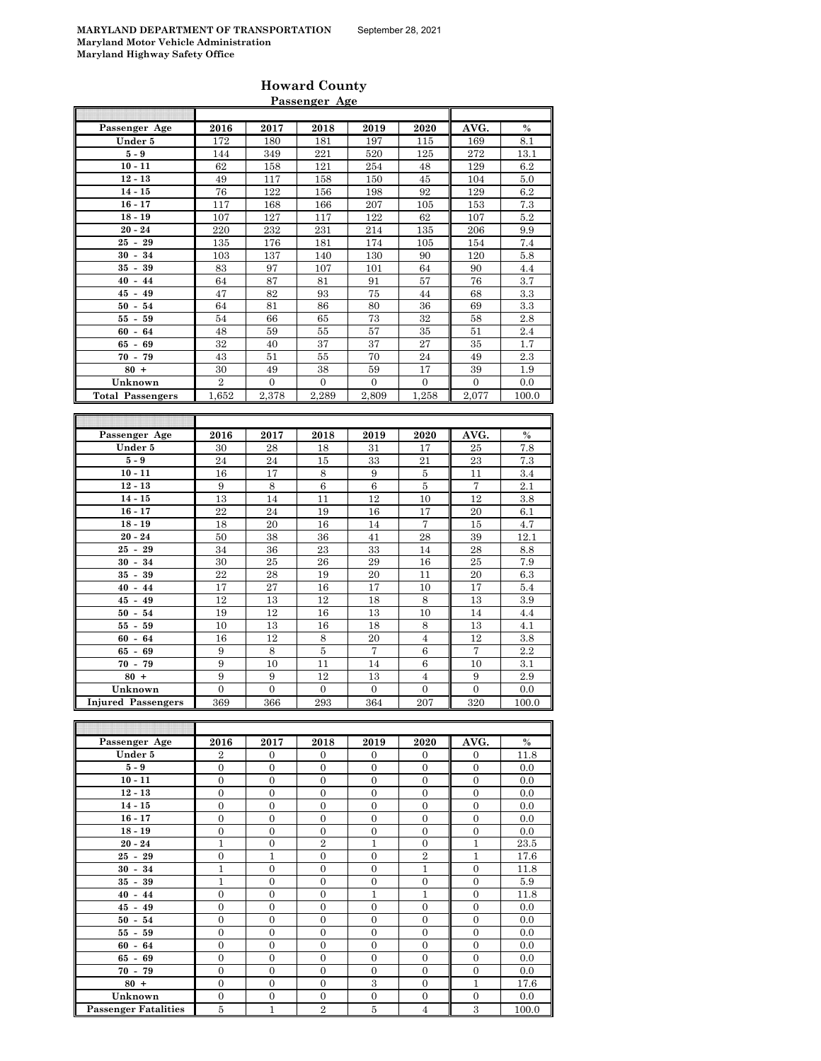|                                      |                |             | Passenger Age |                |                |          |               |
|--------------------------------------|----------------|-------------|---------------|----------------|----------------|----------|---------------|
| Passenger Age                        | 2016           | 2017        | 2018          | 2019           | 2020           | AVG.     | $\frac{0}{0}$ |
| Under 5                              | 172            | 180         | 181           | 197            | 115            | 169      | 8.1           |
| $5-9$                                | 144            | 349         | 221           | 520            | 125            | 272      | 13.1          |
| $10 - 11$                            | 62             | 158         | 121           | 254            | 48             | 129      | 6.2           |
| $12 - 13$                            | 49             | 117         | 158           | 150            | 45             | 104      | 5.0           |
| $14 - 15$                            | 76             | 122         | 156           | 198            | 92             | 129      | 6.2           |
| $16 - 17$                            | 117            | 168         | 166           | 207            | 105            | 153      | 7.3           |
| $18 - 19$                            | 107            | 127         | 117           | 122            | 62             | 107      | $5.2\,$       |
| $20 - 24$                            | 220            | 232         | 231           | 214            | 135            | 206      | 9.9           |
| $25 - 29$                            | 135            | 176         | 181           | 174            | 105            | 154      | 7.4           |
| 34<br>30 -                           | 103            | 137         | 140           | 130            | 90             | 120      | 5.8           |
| 39<br>$35 -$                         | 83             | 97          | 107           | 101            | 64             | 90       | 4.4           |
| 44<br>40<br>$\blacksquare$           | 64             | 87          | 81            | 91             | 57             | 76       | 3.7           |
| 49<br>45<br>$\sim$                   | 47             | 82          | 93            | 75             | 44             | 68       | $\!3.3$       |
| $50 - 54$                            | 64             | 81          | 86            | 80             | 36             | 69       | $\!3.3\!$     |
| 59<br>55 -                           | 54             | 66          | 65            | 73             | 32             | 58       | 2.8           |
| $60 - 64$                            | 48             | 59          | 55            | 57             | 35             | 51       | 2.4           |
| $65 - 69$                            | 32             | 40          | 37            | 37             | 27             | 35       | 1.7           |
| $70 - 79$                            | 43             | 51          | 55            | 70             | 24             | 49       | 2.3           |
| $80 +$                               | 30             | 49          | 38            | 59             | 17             | 39       | 1.9           |
| Unknown                              | $\overline{2}$ | $\theta$    | $\theta$      | $\theta$       | $\Omega$       | $\theta$ | 0.0           |
| <b>Total Passengers</b>              | 1,652          | 2,378       | 2,289         | 2,809          | 1.258          | 2,077    | 100.0         |
|                                      |                |             |               |                |                |          |               |
|                                      |                |             |               |                |                |          |               |
| Passenger Age                        | 2016           | 2017        | 2018          | 2019           | 2020           | AVG.     | $\%$          |
| Under 5                              | 30             | 28          | 18            | 31             | 17             | 25       | 7.8           |
| $5-9$                                | 24             | 24          | $15\,$        | 33             | 21             | 23       | 7.3           |
| $10 - 11$                            | 16             | 17          | 8             | 9              | $\bf 5$        | 11       | 3.4           |
| $12 - 13$                            | 9              | 8           | 6             | $\overline{6}$ | $\overline{5}$ | 7        | 2.1           |
| $14 - 15$                            | 13             | 14          | 11            | 12             | 10             | 12       | 3.8           |
| $16 - 17$                            | 22             | 24          | 19            | 16             | 17             | $20\,$   | 6.1           |
| $18 - 19$                            | 18             | 20          | 16            | 14             | $\overline{7}$ | 15       | 4.7           |
| $20 - 24$                            | 50             | 38          | 36            | 41             | 28             | 39       | 12.1          |
| 29<br>$25 -$                         | 34             | 36          | 23            | 33             | 14             | 28       | 8.8           |
| 34<br>$30 -$                         | 30             | 25          | 26            | 29             | 16             | 25       | 7.9           |
| 39<br>35<br>$\overline{\phantom{a}}$ | 22             | 28          | 19            | 20             | 11             | 20       | 6.3           |
| $40 - 44$                            | 17             | $\sqrt{27}$ | 16            | 17             | 10             | 17       | 5.4           |
| $45 - 49$                            | 12             | 13          | 12            | 18             | $\,8\,$        | 13       | 3.9           |
| $50 - 54$                            | 19             | 12          | 16            | 13             | 10             | 14       | 4.4           |

## **Howard County**

| Passenger Age               | 2016           | 2017           | 2018           | 2019         | 2020           | AVG.           | $\%$  |
|-----------------------------|----------------|----------------|----------------|--------------|----------------|----------------|-------|
| Under 5                     | $\overline{2}$ | $\overline{0}$ | $\Omega$       | $\Omega$     | $\Omega$       | $\mathbf{0}$   | 11.8  |
| $5-9$                       | $\overline{0}$ | $\overline{0}$ | $\overline{0}$ | $\theta$     | $\Omega$       | $\Omega$       | 0.0   |
| $10 - 11$                   | $\overline{0}$ | $\overline{0}$ | $\overline{0}$ | $\mathbf{0}$ | $\overline{0}$ | $\overline{0}$ | 0.0   |
| $12 - 13$                   | $\overline{0}$ | $\overline{0}$ | $\overline{0}$ | $\theta$     | $\Omega$       | $\Omega$       | 0.0   |
| $14 - 15$                   | $\overline{0}$ | $\overline{0}$ | $\overline{0}$ | $\mathbf{0}$ | $\mathbf{0}$   | $\mathbf{0}$   | 0.0   |
| $16 - 17$                   | $\overline{0}$ | $\overline{0}$ | $\overline{0}$ | $\mathbf{0}$ | $\mathbf{0}$   | $\mathbf{0}$   | 0.0   |
| $18 - 19$                   | $\overline{0}$ | $\overline{0}$ | $\mathbf{0}$   | $\mathbf{0}$ | $\mathbf{0}$   | $\mathbf{0}$   | 0.0   |
| $20 - 24$                   | 1              | $\overline{0}$ | $\overline{2}$ | 1            | $\Omega$       | 1              | 23.5  |
| $25 - 29$                   | $\overline{0}$ | $\mathbf{1}$   | $\Omega$       | $\theta$     | $\overline{2}$ | $\mathbf{1}$   | 17.6  |
| $30 - 34$                   | $\overline{1}$ | $\overline{0}$ | $\overline{0}$ | $\mathbf{0}$ | $\mathbf{1}$   | $\mathbf{0}$   | 11.8  |
| $35 - 39$                   | $\mathbf{1}$   | $\Omega$       | $\Omega$       | $\Omega$     | $\Omega$       | $\Omega$       | 5.9   |
| $40 - 44$                   | $\overline{0}$ | $\overline{0}$ | $\overline{0}$ | 1            | 1              | $\mathbf{0}$   | 11.8  |
| $45 - 49$                   | $\Omega$       | $\theta$       | $\Omega$       | $\theta$     | $\Omega$       | $\Omega$       | 0.0   |
| $50 - 54$                   | $\overline{0}$ | $\overline{0}$ | $\overline{0}$ | $\Omega$     | $\Omega$       | $\mathbf{0}$   | 0.0   |
| $55 - 59$                   | $\overline{0}$ | $\overline{0}$ | $\overline{0}$ | $\mathbf{0}$ | $\mathbf{0}$   | $\mathbf{0}$   | 0.0   |
| $60 - 64$                   | $\overline{0}$ | $\overline{0}$ | $\mathbf{0}$   | $\mathbf{0}$ | $\mathbf{0}$   | $\mathbf{0}$   | 0.0   |
| $65 - 69$                   | $\overline{0}$ | $\overline{0}$ | $\overline{0}$ | $\mathbf{0}$ | $\overline{0}$ | $\mathbf{0}$   | 0.0   |
| $70 - 79$                   | $\overline{0}$ | $\overline{0}$ | $\overline{0}$ | $\mathbf{0}$ | $\mathbf{0}$   | $\mathbf{0}$   | 0.0   |
| $80 +$                      | $\overline{0}$ | $\overline{0}$ | $\overline{0}$ | 3            | $\overline{0}$ | $\mathbf{1}$   | 17.6  |
| Unknown                     | $\overline{0}$ | $\overline{0}$ | $\overline{0}$ | $\mathbf{0}$ | $\overline{0}$ | $\mathbf{0}$   | 0.0   |
| <b>Passenger Fatalities</b> | $\overline{5}$ | 1              | $\overline{2}$ | 5            | $\overline{4}$ | 3              | 100.0 |

**55 - 59** 10 13 16 18 8 13 4.1 **60 - 64** 16 12 8 20 4 12 3.8 **65 - 69 9** 8 8 5 7 6 7 2.2 **70 - 79** | 9 | 10 | 11 | 14 | 6 || 10 | 3.1 **80 +** 9 9 9 12 13 4 9 2.9 **Unknown** 0 0 0 0 0 0 0.0 **Injured Passengers** 369 366 293 364 207 320 100.0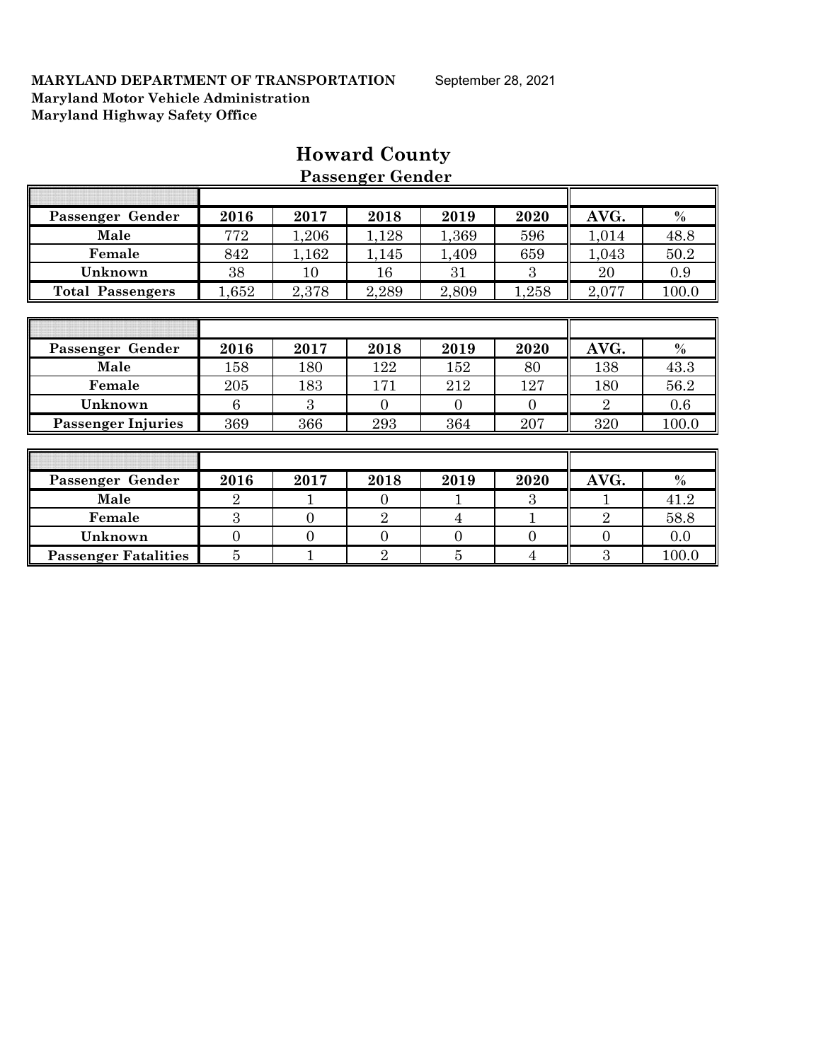| Passenger Gender          | 2016           | 2017           | 2018           | 2019           | 2020           | AVG.             | $\%$  |
|---------------------------|----------------|----------------|----------------|----------------|----------------|------------------|-------|
| Male                      | 772            | 1,206          | 1,128          | 1,369          | 596            | 1,014            | 48.8  |
| Female                    | 842            | 1,162          | 1,145          | 1,409          | 659            | 1,043            | 50.2  |
| Unknown                   | 38             | 10             | 16             | 31             | 3              | 20               | 0.9   |
| <b>Total Passengers</b>   | 1,652          | 2,378          | 2,289          | 2,809          | 1,258          | 2,077            | 100.0 |
|                           |                |                |                |                |                |                  |       |
|                           |                |                |                |                |                |                  |       |
| Passenger Gender          | 2016           | 2017           | 2018           | 2019           | 2020           | AVG.             | $\%$  |
| Male                      | 158            | 180            | 122            | 152            | 80             | 138              | 43.3  |
| Female                    | 205            | 183            | 171            | 212            | 127            | 180              | 56.2  |
| Unknown                   | 6              | 3              | $\Omega$       | $\Omega$       | $\Omega$       | $\overline{2}$   | 0.6   |
| <b>Passenger Injuries</b> | 369            | 366            | 293            | 364            | 207            | 320              | 100.0 |
|                           |                |                |                |                |                |                  |       |
|                           |                |                |                |                |                |                  |       |
| Passenger Gender          | 2016           | 2017           | 2018           | 2019           | 2020           | AVG.             | $\%$  |
| Male                      | $\overline{2}$ |                | $\Omega$       |                | 3              |                  | 41.2  |
| Female                    | 3              | $\overline{0}$ | $\overline{2}$ | $\overline{4}$ |                | $\overline{2}$   | 58.8  |
| Unknown                   | $\overline{0}$ | $\overline{0}$ | $\overline{0}$ | $\overline{0}$ | $\overline{0}$ | $\boldsymbol{0}$ | 0.0   |

**Passenger Fatalities** 5 1 1 2 5 4 3 100.0

## **Howard County Passenger Gender**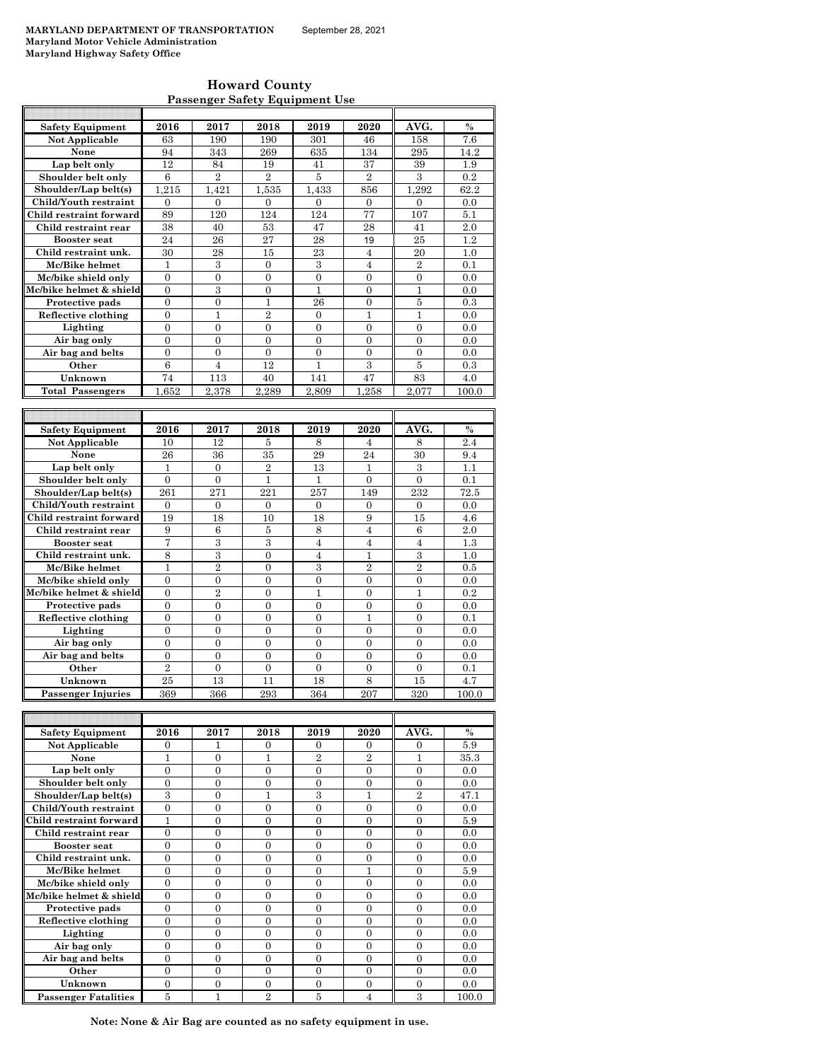| <b>Howard County</b>                  |
|---------------------------------------|
| <b>Passenger Safety Equipment Use</b> |

| <b>Safety Equipment</b> | 2016           | 2017           | 2018           | 2019           | 2020           | AVG.             | $\frac{0}{0}$    |
|-------------------------|----------------|----------------|----------------|----------------|----------------|------------------|------------------|
| <b>Not Applicable</b>   | 63             | 190            | 190            | 301            | 46             | 158              | 7.6              |
| None                    | 94             | 343            | 269            | 635            | 134            | 295              | 14.2             |
| Lap belt only           | 12             | 84             | 19             | 41             | 37             | 39               | $1.9\,$          |
| Shoulder belt only      | 6              | $\overline{2}$ | $\overline{2}$ | $\overline{5}$ | $\overline{2}$ | 3                | 0.2              |
| Shoulder/Lap belt(s)    | 1,215          | 1,421          | 1,535          | 1,433          | 856            | 1,292            | 62.2             |
| Child/Youth restraint   | 0              | $\Omega$       | 0              | $\Omega$       | $\Omega$       | $\Omega$         | 0.0              |
| Child restraint forward | 89             | 120            | 124            | 124            | 77             | 107              | 5.1              |
| Child restraint rear    | 38             | 40             | 53             | 47             | 28             | 41               | 2.0              |
| <b>Booster seat</b>     | 24             | 26             | 27             | 28             | 19             | 25               | 1.2              |
| Child restraint unk.    | 30             | 28             | 15             | 23             | $\overline{4}$ | 20               | 1.0              |
| Mc/Bike helmet          | $\mathbf{1}$   | 3              | $\overline{0}$ | 3              | $\overline{4}$ | $\overline{2}$   | 0.1              |
| Mc/bike shield only     | 0              | 0              | 0              | $\overline{0}$ | $\Omega$       | $\overline{0}$   | 0.0              |
| Mc/bike helmet & shield | 0              | 3              | 0              | 1              | $\Omega$       | 1                | 0.0              |
| Protective pads         | $\theta$       | $\theta$       | $\mathbf{1}$   | 26             | $\theta$       | $\overline{5}$   | 0.3              |
| Reflective clothing     | $\theta$       | $\mathbf{1}$   | $\overline{2}$ | $\overline{0}$ | $\mathbf{1}$   | $\mathbf{1}$     | 0.0              |
| Lighting                | 0              | 0              | $\Omega$       | $\Omega$       | $\Omega$       | 0                | 0.0              |
| Air bag only            | $\overline{0}$ | $\overline{0}$ | $\overline{0}$ | $\overline{0}$ | $\overline{0}$ | $\overline{0}$   | 0.0              |
| Air bag and belts       | $\theta$       | $\overline{0}$ | $\overline{0}$ | $\overline{0}$ | $\theta$       | $\theta$         | 0.0              |
| Other                   | 6              | $\overline{4}$ | 12             | 1              | 3              | $\overline{5}$   | 0.3              |
| Unknown                 | 74             | 113            | 40             | 141            | 47             | 83               | 4.0              |
| <b>Total Passengers</b> | 1,652          | 2,378          | 2,289          | 2,809          | 1,258          | 2,077            | 100.0            |
|                         |                |                |                |                |                |                  |                  |
|                         |                |                |                |                |                |                  |                  |
| <b>Safety Equipment</b> | 2016           | 2017           | 2018           | 2019           | 2020           | AVG.             | $\frac{0}{0}$    |
| Not Applicable          | 10             | 12             | 5              | 8              | 4              | 8                | 2.4              |
| None                    | 26             | 36             | 35             | 29             | 24             | 30               | 9.4              |
| Lap belt only           | $\mathbf{1}$   | $\theta$       | $\overline{2}$ | 13             | $\mathbf{1}$   | 3                | 1.1              |
| Shoulder belt only      | $\theta$       | $\overline{0}$ | $\mathbf{1}$   | $\mathbf{1}$   | $\theta$       | $\overline{0}$   | 0.1              |
| Shoulder/Lap belt(s)    | 261            | 271            | 221            | 257            | 149            | 232              | 72.5             |
| Child/Youth restraint   | $\Omega$       | $\theta$       | $\Omega$       | $\Omega$       | $\Omega$       | $\theta$         | 0.0              |
| Child restraint forward | 19             | 18             | 10             | 18             | 9              | 15               | $4.6\,$          |
| Child restraint rear    | 9              | $\,6$          | $\bf 5$        | 8              | 4              | $\boldsymbol{6}$ | 2.0              |
| <b>Booster seat</b>     | 7              | 3              | 3              | 4              | 4              | 4                | 1.3              |
| Child restraint unk.    | 8              | 3              | $\overline{0}$ | $\overline{4}$ | $\mathbf{1}$   | 3                | 1.0              |
| Mc/Bike helmet          | $\mathbf{1}$   | $\overline{2}$ | $\overline{0}$ | 3              | $\overline{2}$ | $\overline{2}$   | 0.5              |
| Mc/bike shield only     | 0              | 0              | 0              | $\overline{0}$ | $\overline{0}$ | $\overline{0}$   | 0.0              |
| Mc/bike helmet & shield | 0              | $\overline{2}$ | 0              | 1              | $\Omega$       | 1                | 0.2              |
| Protective pads         | $\theta$       | $\theta$       | $\theta$       | $\theta$       | $\theta$       | $\theta$         | 0.0              |
| Reflective clothing     | $\overline{0}$ | $\overline{0}$ | $\overline{0}$ | $\overline{0}$ | 1              | $\overline{0}$   | 0.1              |
| Lighting                | 0              | 0              | 0              | $\overline{0}$ | $\overline{0}$ | $\overline{0}$   | 0.0              |
| Air bag only            | $\overline{0}$ | $\overline{0}$ | $\overline{0}$ | $\overline{0}$ | $\overline{0}$ | $\overline{0}$   | $\overline{0.0}$ |

| Unknown                     | 25       | 13       | 11             | 18             | 8              | 15             | 4.7           |
|-----------------------------|----------|----------|----------------|----------------|----------------|----------------|---------------|
| <b>Passenger Injuries</b>   | 369      | 366      | 293            | 364            | 207            | 320            | 100.0         |
|                             |          |          |                |                |                |                |               |
|                             |          |          |                |                |                |                |               |
| <b>Safety Equipment</b>     | 2016     | 2017     | 2018           | 2019           | 2020           | AVG.           | $\frac{0}{0}$ |
| Not Applicable              | $\Omega$ | 1        | $\Omega$       | $\Omega$       | $\Omega$       | $\Omega$       | 5.9           |
| None                        | 1        | $\Omega$ | 1              | $\overline{2}$ | $\overline{2}$ | 1              | 35.3          |
| Lap belt only               | $\theta$ | $\theta$ | $\theta$       | $\theta$       | $\theta$       | $\theta$       | 0.0           |
| Shoulder belt only          | $\Omega$ | $\Omega$ | $\Omega$       | $\Omega$       | $\Omega$       | $\Omega$       | 0.0           |
| Shoulder/Lap belt(s)        | 3        | $\theta$ | 1              | 3              | 1              | $\overline{2}$ | 47.1          |
| Child/Youth restraint       | $\theta$ | $\theta$ | $\theta$       | $\theta$       | $\theta$       | $\theta$       | 0.0           |
| Child restraint forward     | 1        | $\theta$ | $\Omega$       | $\Omega$       | $\Omega$       | $\Omega$       | 5.9           |
| Child restraint rear        | $\theta$ | $\theta$ | $\Omega$       | $\Omega$       | $\Omega$       | $\Omega$       | 0.0           |
| <b>Booster seat</b>         | $\theta$ | $\theta$ | $\Omega$       | $\Omega$       | $\Omega$       | $\Omega$       | 0.0           |
| Child restraint unk.        | $\theta$ | $\theta$ | $\theta$       | $\theta$       | $\theta$       | $\theta$       | 0.0           |
| Mc/Bike helmet              | $\Omega$ | $\theta$ | $\Omega$       | $\Omega$       | 1              | $\Omega$       | 5.9           |
| Mc/bike shield only         | $\theta$ | $\theta$ | $\Omega$       | $\Omega$       | $\Omega$       | $\Omega$       | 0.0           |
| Mc/bike helmet & shield     | $\Omega$ | $\Omega$ | $\Omega$       | $\Omega$       | $\Omega$       | $\Omega$       | 0.0           |
| Protective pads             | $\theta$ | $\theta$ | $\theta$       | $\Omega$       | $\Omega$       | $\theta$       | 0.0           |
| Reflective clothing         | $\theta$ | $\theta$ | $\Omega$       | $\Omega$       | $\Omega$       | $\Omega$       | 0.0           |
| Lighting                    | $\Omega$ | $\Omega$ | $\theta$       | $\Omega$       | $\Omega$       | $\Omega$       | 0.0           |
| Air bag only                | $\Omega$ | $\theta$ | $\Omega$       | $\Omega$       | $\Omega$       | $\Omega$       | 0.0           |
| Air bag and belts           | $\theta$ | $\theta$ | $\Omega$       | $\Omega$       | $\Omega$       | $\Omega$       | 0.0           |
| Other                       | $\theta$ | $\theta$ | $\Omega$       | $\Omega$       | $\Omega$       | $\Omega$       | 0.0           |
| Unknown                     | $\theta$ | $\theta$ | $\Omega$       | $\Omega$       | $\Omega$       | $\Omega$       | 0.0           |
| <b>Passenger Fatalities</b> | 5        | 1        | $\overline{2}$ | 5              | 4              | 3              | 100.0         |

**Air bag only** 0 0 0 0 0 0 0.0

**Other**  $\begin{array}{c|c|c|c|c|c|c|c} \hline 2 & 0 & 0 & 0 & 0 & 0 & 0.1 \ \hline \end{array}$ 

Air bag and belts

**Note: None & Air Bag are counted as no safety equipment in use.**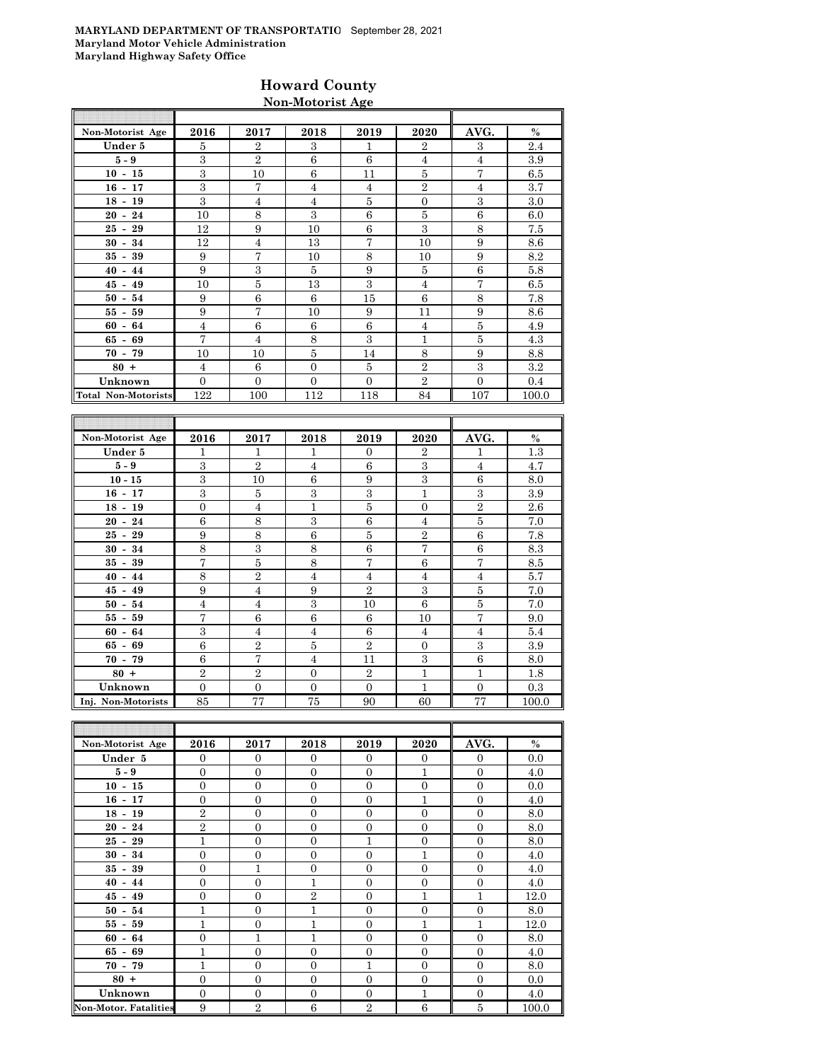### **Howard County Non-Motorist Age**

| Non-Motorist Age           | 2016           | 2017           | 2018           | 2019         | 2020           | AVG.           | $\%$    |
|----------------------------|----------------|----------------|----------------|--------------|----------------|----------------|---------|
| Under 5                    | 5              | $\overline{2}$ | 3              | 1            | $\overline{2}$ | 3              | 2.4     |
| $5-9$                      | 3              | $\overline{2}$ | 6              | 6            | $\overline{4}$ | $\overline{4}$ | 3.9     |
| $10 - 15$                  | 3              | 10             | 6              | 11           | 5              | 7              | 6.5     |
| $16 - 17$                  | 3              | 7              | 4              | 4            | $\overline{2}$ | $\overline{4}$ | 3.7     |
| $18 - 19$                  | 3              | $\overline{4}$ | $\overline{4}$ | 5            | $\overline{0}$ | 3              | 3.0     |
| $20 - 24$                  | 10             | 8              | 3              | 6            | 5              | 6              | 6.0     |
| $25 - 29$                  | 12             | 9              | 10             | 6            | 3              | 8              | 7.5     |
| $30 - 34$                  | 12             | $\overline{4}$ | 13             | 7            | 10             | 9              | 8.6     |
| $35 - 39$                  | 9              | 7              | 10             | 8            | 10             | 9              | 8.2     |
| $40 - 44$                  | 9              | 3              | 5              | 9            | 5              | 6              | 5.8     |
| $45 - 49$                  | 10             | 5              | 13             | 3            | $\overline{4}$ | 7              | 6.5     |
| $50 - 54$                  | 9              | 6              | 6              | 15           | 6              | 8              | 7.8     |
| $55 - 59$                  | 9              | 7              | 10             | 9            | 11             | 9              | 8.6     |
| $60 - 64$                  | $\overline{4}$ | 6              | 6              | 6            | $\overline{4}$ | 5              | 4.9     |
| $65 - 69$                  | 7              | $\overline{4}$ | 8              | 3            | $\mathbf{1}$   | 5              | 4.3     |
| $70 - 79$                  | 10             | 10             | 5              | 14           | 8              | 9              | 8.8     |
| $80 +$                     | $\overline{4}$ | 6              | $\Omega$       | 5            | $\overline{2}$ | 3              | $3.2\,$ |
| Unknown                    | $\overline{0}$ | $\Omega$       | $\Omega$       | $\mathbf{0}$ | $\overline{2}$ | $\Omega$       | 0.4     |
| <b>Total Non-Motorists</b> | 122            | 100            | 112            | 118          | 84             | 107            | 100.0   |

| Non-Motorist Age   | 2016           | 2017           | 2018           | 2019           | 2020           | AVG.           | $\%$  |
|--------------------|----------------|----------------|----------------|----------------|----------------|----------------|-------|
| Under 5            | 1              | $\mathbf{1}$   | 1              | $\Omega$       | $\overline{2}$ | 1              | 1.3   |
| $5 - 9$            | 3              | $\overline{2}$ | $\overline{4}$ | 6              | 3              | $\overline{4}$ | 4.7   |
| $10 - 15$          | 3              | 10             | 6              | 9              | 3              | 6              | 8.0   |
| $16 - 17$          | 3              | 5              | 3              | 3              | $\mathbf{1}$   | 3              | 3.9   |
| $18 - 19$          | $\overline{0}$ | $\overline{4}$ | 1              | 5              | $\overline{0}$ | $\overline{2}$ | 2.6   |
| $20 - 24$          | 6              | 8              | 3              | 6              | $\overline{4}$ | 5              | 7.0   |
| $25 - 29$          | 9              | 8              | 6              | 5              | $\overline{2}$ | 6              | 7.8   |
| $30 - 34$          | 8              | 3              | 8              | 6              | 7              | 6              | 8.3   |
| $35 - 39$          | $\overline{7}$ | 5              | 8              | $\overline{7}$ | 6              | 7              | 8.5   |
| $40 - 44$          | 8              | $\overline{2}$ | 4              | 4              | 4              | 4              | 5.7   |
| $45 - 49$          | 9              | $\overline{4}$ | 9              | $\overline{2}$ | 3              | 5              | 7.0   |
| $50 - 54$          | $\overline{4}$ | $\overline{4}$ | 3              | 10             | 6              | 5              | 7.0   |
| $55 - 59$          | $\overline{7}$ | 6              | 6              | 6              | 10             | 7              | 9.0   |
| $60 - 64$          | 3              | $\overline{4}$ | 4              | 6              | 4              | $\overline{4}$ | 5.4   |
| $65 - 69$          | 6              | $\overline{2}$ | 5              | $\overline{2}$ | $\overline{0}$ | 3              | 3.9   |
| $70 - 79$          | 6              | $\overline{7}$ | $\overline{4}$ | 11             | 3              | 6              | 8.0   |
| $80 +$             | $\overline{2}$ | $\overline{2}$ | $\mathbf{0}$   | $\overline{2}$ | $\mathbf{1}$   | 1              | 1.8   |
| Unknown            | $\overline{0}$ | $\overline{0}$ | $\mathbf{0}$   | $\mathbf{0}$   | $\mathbf{1}$   | $\Omega$       | 0.3   |
| Inj. Non-Motorists | 85             | 77             | 75             | 90             | 60             | 77             | 100.0 |

| Non-Motorist Age             | 2016           | 2017           | 2018           | 2019           | 2020           | AVG.           | $\%$  |
|------------------------------|----------------|----------------|----------------|----------------|----------------|----------------|-------|
| Under 5                      | $\overline{0}$ | $\mathbf{0}$   | $\overline{0}$ | $\theta$       | $\overline{0}$ | $\mathbf{0}$   | 0.0   |
| $5 - 9$                      | $\overline{0}$ | $\mathbf{0}$   | $\Omega$       | $\Omega$       | $\mathbf{1}$   | $\Omega$       | 4.0   |
| $10 - 15$                    | $\overline{0}$ | $\overline{0}$ | $\overline{0}$ | $\overline{0}$ | $\mathbf{0}$   | $\mathbf{0}$   | 0.0   |
| $16 - 17$                    | $\overline{0}$ | $\mathbf{0}$   | $\Omega$       | $\Omega$       | $\mathbf{1}$   | $\Omega$       | 4.0   |
| $18 - 19$                    | $\overline{2}$ | $\overline{0}$ | $\Omega$       | $\Omega$       | $\mathbf{0}$   | $\Omega$       | 8.0   |
| $20 - 24$                    | $\overline{2}$ | $\overline{0}$ | $\overline{0}$ | $\overline{0}$ | $\mathbf{0}$   | $\overline{0}$ | 8.0   |
| $25 - 29$                    | $\mathbf{1}$   | $\overline{0}$ | $\Omega$       | $\mathbf{1}$   | $\mathbf{0}$   | $\Omega$       | 8.0   |
| $30 - 34$                    | $\overline{0}$ | $\overline{0}$ | $\overline{0}$ | $\overline{0}$ | $\overline{1}$ | $\mathbf{0}$   | 4.0   |
| $35 - 39$                    | $\overline{0}$ | $\mathbf{1}$   | $\overline{0}$ | $\Omega$       | $\mathbf{0}$   | $\mathbf{0}$   | 4.0   |
| $40 - 44$                    | $\overline{0}$ | $\overline{0}$ | 1              | $\Omega$       | $\overline{0}$ | $\overline{0}$ | 4.0   |
| $45 - 49$                    | $\overline{0}$ | $\overline{0}$ | $\overline{2}$ | $\Omega$       | $\overline{1}$ | 1              | 12.0  |
| $50 - 54$                    | $\mathbf{1}$   | $\overline{0}$ | 1              | $\Omega$       | $\overline{0}$ | $\Omega$       | 8.0   |
| $55 - 59$                    | $\mathbf{1}$   | $\overline{0}$ | 1              | $\Omega$       | 1              | 1              | 12.0  |
| $60 - 64$                    | $\overline{0}$ | $\mathbf{1}$   | 1              | $\overline{0}$ | $\mathbf{0}$   | $\mathbf{0}$   | 8.0   |
| $65 - 69$                    | 1              | $\overline{0}$ | $\overline{0}$ | $\overline{0}$ | $\mathbf{0}$   | $\overline{0}$ | 4.0   |
| $70 - 79$                    | $\mathbf{1}$   | $\overline{0}$ | $\overline{0}$ | $\mathbf{1}$   | $\mathbf{0}$   | $\mathbf{0}$   | 8.0   |
| $80 +$                       | $\overline{0}$ | $\overline{0}$ | $\overline{0}$ | $\overline{0}$ | $\mathbf{0}$   | $\overline{0}$ | 0.0   |
| Unknown                      | $\overline{0}$ | $\overline{0}$ | $\Omega$       | $\Omega$       | 1              | $\overline{0}$ | 4.0   |
| <b>Non-Motor, Fatalities</b> | 9              | $\overline{2}$ | 6              | $\overline{2}$ | 6              | 5              | 100.0 |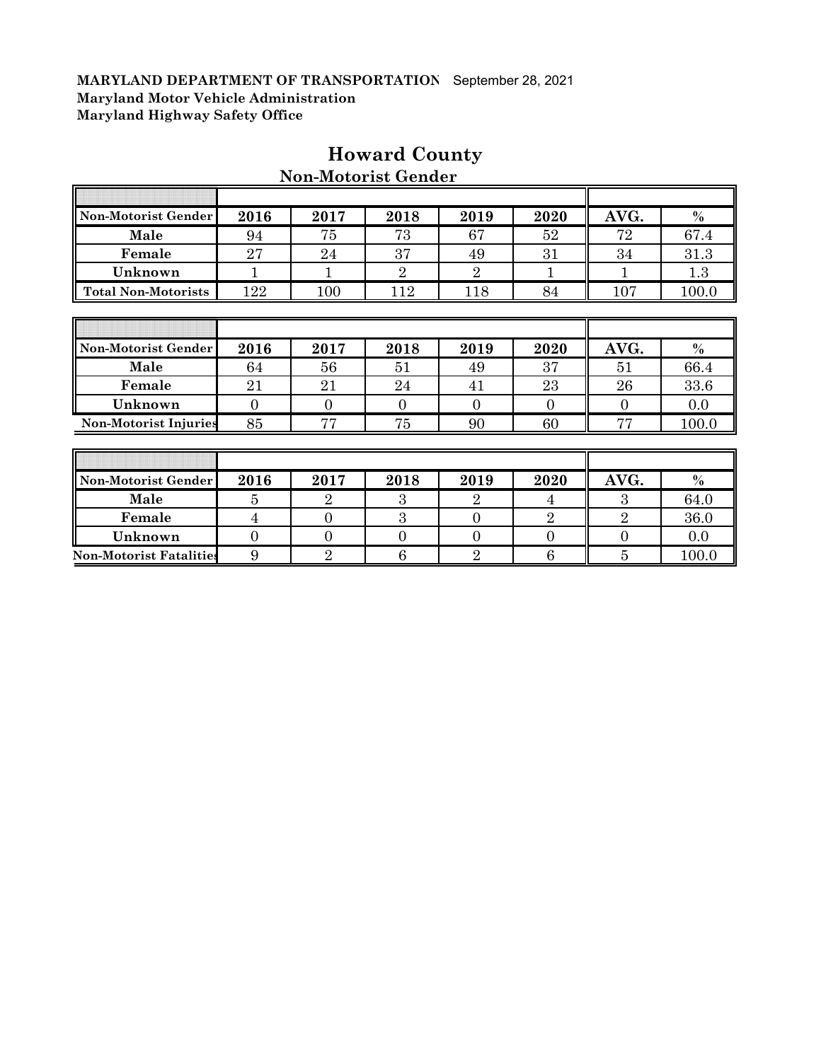F

| Non-Motorist Gender            | 2016           | 2017           | 2018           | 2019           | 2020           | AVG.             | $\%$  |
|--------------------------------|----------------|----------------|----------------|----------------|----------------|------------------|-------|
| Male                           | 94             | 75             | 73             | 67             | 52             | 72               | 67.4  |
| Female                         | 27             | 24             | 37             | 49             | 31             | 34               | 31.3  |
| Unknown                        | 1              | 1              | $\overline{2}$ | $\overline{2}$ |                |                  | 1.3   |
| <b>Total Non-Motorists</b>     | 122            | 100            | 112            | 118            | 84             | 107              | 100.0 |
|                                |                |                |                |                |                |                  |       |
|                                |                |                |                |                |                |                  |       |
| Non-Motorist Gender            | 2016           | 2017           | 2018           | 2019           | 2020           | AVG.             | $\%$  |
| Male                           | 64             | 56             | 51             | 49             | 37             | 51               | 66.4  |
| Female                         | 21             | 21             | 24             | 41             | 23             | 26               | 33.6  |
| Unknown                        | $\overline{0}$ | $\overline{0}$ | $\theta$       | $\Omega$       | $\Omega$       | $\Omega$         | 0.0   |
| <b>Non-Motorist Injuries</b>   | 85             | 77             | 75             | 90             | 60             | 77               | 100.0 |
|                                |                |                |                |                |                |                  |       |
|                                |                |                |                |                |                |                  |       |
| Non-Motorist Gender            | 2016           | 2017           | 2018           | 2019           | 2020           | AVG.             | $\%$  |
| Male                           | $\overline{5}$ | $\overline{2}$ | 3              | $\overline{2}$ | 4              | 3                | 64.0  |
| Female                         | 4              | $\overline{0}$ | 3              | $\theta$       | $\overline{2}$ | $\overline{2}$   | 36.0  |
| Unknown                        | $\overline{0}$ | $\overline{0}$ | $\overline{0}$ | $\theta$       | $\overline{0}$ | $\boldsymbol{0}$ | 0.0   |
| <b>Non-Motorist Fatalities</b> | 9              | $\overline{2}$ | 6              | $\overline{2}$ | 6              | 5                | 100.0 |

## **Howard County**

**Non-Motorist Gender**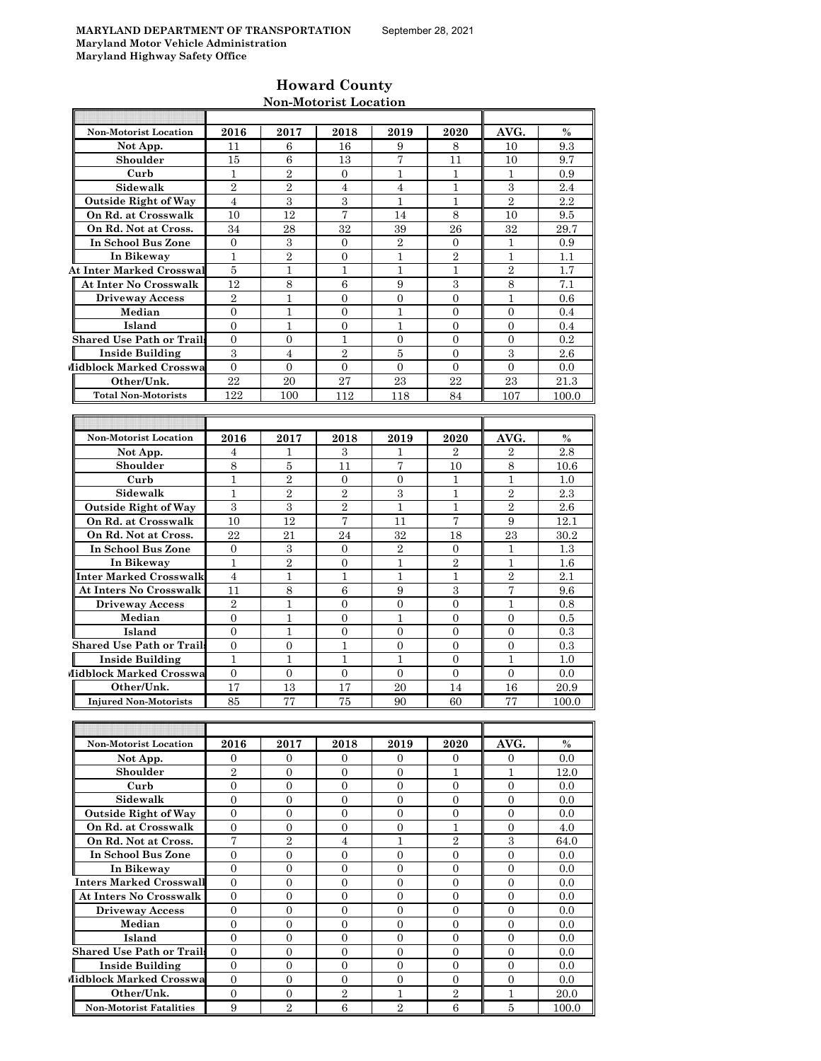## **Howard County Non-Motorist Location**

| <b>Non-Motorist Location</b>                                    | 2016               | 2017               | 2018                | 2019                | 2020                 | AVG.              | $\%$        |
|-----------------------------------------------------------------|--------------------|--------------------|---------------------|---------------------|----------------------|-------------------|-------------|
| Not App.                                                        | 11                 | 6                  | 16                  | 9                   | 8                    | 10                | 9.3         |
| Shoulder                                                        | 15                 | 6                  | 13                  | 7                   | 11                   | 10                | 9.7         |
| Curb                                                            | 1                  | $\overline{2}$     | $\mathbf{0}$        | 1                   | 1                    | 1                 | 0.9         |
| Sidewalk                                                        | $\overline{2}$     | $\overline{2}$     | $\overline{4}$      | $\overline{4}$      | $\mathbf{1}$         | 3                 | 2.4         |
| <b>Outside Right of Way</b>                                     | $\overline{4}$     | $\,3\,$            | $\,3$               | $\mathbf{1}$        | $\mathbf{1}$         | $\overline{2}$    | 2.2         |
| On Rd. at Crosswalk                                             | 10                 | 12                 | 7                   | 14                  | 8                    | 10                | 9.5         |
| On Rd. Not at Cross.                                            | 34                 | 28                 | 32                  | 39                  | 26                   | 32                | 29.7        |
| In School Bus Zone                                              | $\overline{0}$     | $\,3$              | $\overline{0}$      | $\overline{2}$      | $\mathbf{0}$         | $\mathbf{1}$      | 0.9         |
| In Bikeway                                                      | $\mathbf{1}$       | $\overline{2}$     | $\overline{0}$      | $\mathbf{1}$        | $\overline{2}$       | $\mathbf{1}$      | 1.1         |
| <b>At Inter Marked Crosswal</b><br><b>At Inter No Crosswalk</b> | 5<br>12            | $\mathbf{1}$       | $\mathbf{1}$        | $\mathbf{1}$        | 1                    | $\overline{2}$    | 1.7         |
| <b>Driveway Access</b>                                          | $\overline{2}$     | 8<br>1             | 6<br>$\overline{0}$ | 9<br>$\overline{0}$ | 3<br>$\mathbf{0}$    | 8<br>$\mathbf{1}$ | 7.1<br>0.6  |
| Median                                                          | $\mathbf{0}$       | 1                  | $\overline{0}$      | 1                   | $\overline{0}$       | $\mathbf{0}$      | 0.4         |
| Island                                                          | $\overline{0}$     | 1                  | $\overline{0}$      | 1                   | $\mathbf{0}$         | $\overline{0}$    | 0.4         |
| <b>Shared Use Path or Trails</b>                                | $\overline{0}$     | $\mathbf{0}$       | $\mathbf{1}$        | $\overline{0}$      | $\overline{0}$       | $\overline{0}$    | 0.2         |
| <b>Inside Building</b>                                          | 3                  | $\overline{4}$     | $\overline{2}$      | 5                   | $\overline{0}$       | 3                 | $2.6\,$     |
| Midblock Marked Crosswa                                         | $\mathbf{0}$       | $\mathbf{0}$       | 0                   | 0                   | $\mathbf{0}$         | 0                 | 0.0         |
| Other/Unk.                                                      | 22                 | 20                 | 27                  | 23                  | 22                   | 23                | 21.3        |
| <b>Total Non-Motorists</b>                                      | 122                | 100                | 112                 | 118                 | 84                   | 107               | 100.0       |
|                                                                 |                    |                    |                     |                     |                      |                   |             |
|                                                                 |                    |                    |                     |                     |                      |                   |             |
| <b>Non-Motorist Location</b>                                    | 2016               | 2017               | 2018                | 2019                | 2020                 | AVG.              | $\%$        |
| Not App.                                                        | 4                  | 1                  | 3                   | 1                   | $\overline{2}$       | $\overline{2}$    | 2.8         |
| Shoulder                                                        | 8                  | 5                  | 11                  | 7                   | 10                   | 8                 | 10.6        |
| Curb                                                            | 1                  | $\overline{2}$     | 0                   | 0                   | 1                    | $\mathbf{1}$      | 1.0         |
| Sidewalk                                                        | $\mathbf{1}$       | $\overline{2}$     | $\overline{2}$      | 3                   | $\mathbf{1}$         | $\overline{2}$    | 2.3         |
| <b>Outside Right of Way</b>                                     | 3                  | 3                  | $\overline{2}$      | $\mathbf{1}$        | $\mathbf{1}$         | $\overline{2}$    | 2.6         |
| On Rd. at Crosswalk                                             | 10                 | 12                 | 7                   | 11                  | 7                    | 9                 | 12.1        |
| On Rd. Not at Cross.                                            | 22                 | 21                 | 24                  | 32                  | 18                   | 23                | $30.2\,$    |
| In School Bus Zone                                              | $\mathbf{0}$       | 3                  | $\overline{0}$      | $\overline{2}$      | $\overline{0}$       | $\mathbf{1}$      | 1.3         |
| In Bikeway                                                      | $\mathbf{1}$       | $\overline{2}$     | $\overline{0}$      | $\mathbf{1}$        | $\overline{2}$       | $\mathbf{1}$      | 1.6         |
| <b>Inter Marked Crosswalk</b>                                   | $\overline{4}$     | $\mathbf{1}$       | $\mathbf{1}$        | 1                   | 1                    | $\sqrt{2}$        | 2.1         |
| <b>At Inters No Crosswalk</b>                                   | 11                 | 8                  | 6                   | 9                   | 3                    | $\overline{7}$    | 9.6         |
| <b>Driveway Access</b>                                          | $\overline{2}$     | $\mathbf{1}$       | $\overline{0}$      | $\overline{0}$      | $\overline{0}$       | $\mathbf{1}$      | 0.8         |
| Median                                                          | $\overline{0}$     | $\mathbf{1}$       | $\overline{0}$      | 1                   | $\overline{0}$       | $\overline{0}$    | 0.5         |
| Island                                                          | $\overline{0}$     | 1                  | $\overline{0}$      | 0                   | $\overline{0}$       | $\mathbf{0}$      | 0.3         |
| <b>Shared Use Path or Trails</b>                                | $\Omega$           | $\overline{0}$     | $\mathbf{1}$        | $\overline{0}$      | $\Omega$             | $\overline{0}$    | 0.3         |
| <b>Inside Building</b>                                          | $\mathbf{1}$       | 1                  | $\mathbf{1}$        | $\mathbf{1}$        | $\overline{0}$       | $\mathbf{1}$      | 1.0         |
| Midblock Marked Crosswa<br>Other/Unk.                           | $\mathbf{0}$<br>17 | $\mathbf{0}$<br>13 | $\mathbf{0}$<br>17  | $\mathbf{0}$<br>20  | $\overline{0}$<br>14 | $\mathbf{0}$      | 0.0<br>20.9 |
| <b>Injured Non-Motorists</b>                                    |                    | 77                 | 75                  |                     |                      | 16<br>77          |             |
|                                                                 | 85                 |                    |                     | 90                  | 60                   |                   | 100.0       |
|                                                                 |                    |                    |                     |                     |                      |                   |             |
| Non-Motorist Location                                           | 2016               | 2017               | 2018                | 2019                | 2020                 | AVG.              | $\%$        |
| Not App.                                                        | $\overline{0}$     | $\overline{0}$     | $\overline{0}$      | $\overline{0}$      | $\overline{0}$       | $\overline{0}$    | 0.0         |
| Shoulder                                                        | $\overline{2}$     | $\mathbf{0}$       | $\overline{0}$      | $\overline{0}$      | $\mathbf{1}$         | $\mathbf{1}$      | 12.0        |
| Curb                                                            | 0                  | $\overline{0}$     | 0                   | 0                   | $\mathbf{0}$         | 0                 | 0.0         |
| <b>Sidewalk</b>                                                 | $\overline{0}$     | $\overline{0}$     | $\overline{0}$      | $\overline{0}$      | $\overline{0}$       | $\overline{0}$    | 0.0         |
| <b>Outside Right of Way</b>                                     | $\mathbf{0}$       | $\boldsymbol{0}$   | $\overline{0}$      | $\boldsymbol{0}$    | $\boldsymbol{0}$     | $\boldsymbol{0}$  | 0.0         |
| On Rd. at Crosswalk                                             | $\boldsymbol{0}$   | $\mathbf{0}$       | $\overline{0}$      | $\boldsymbol{0}$    | $\mathbf{1}$         | $\boldsymbol{0}$  | 4.0         |
| On Rd. Not at Cross.                                            | $\overline{7}$     | $\sqrt{2}$         | $\overline{4}$      | 1                   | $\overline{2}$       | 3                 | 64.0        |
| In School Bus Zone                                              | $\overline{0}$     | $\mathbf{0}$       | $\overline{0}$      | $\overline{0}$      | $\overline{0}$       | $\mathbf{0}$      | 0.0         |
| In Bikeway                                                      | $\overline{0}$     | $\mathbf{0}$       | $\overline{0}$      | $\overline{0}$      | $\overline{0}$       | $\mathbf{0}$      | 0.0         |
| Inters Marked Crosswall                                         | $\overline{0}$     | $\mathbf{0}$       | $\overline{0}$      | 0                   | $\overline{0}$       | $\overline{0}$    | 0.0         |
| <b>At Inters No Crosswalk</b>                                   | 0                  | $\boldsymbol{0}$   | $\overline{0}$      | 0                   | $\overline{0}$       | $\overline{0}$    | 0.0         |
| <b>Driveway Access</b>                                          | $\overline{0}$     | $\mathbf{0}$       | $\overline{0}$      | $\overline{0}$      | $\overline{0}$       | $\overline{0}$    | 0.0         |
| Median                                                          | $\boldsymbol{0}$   | $\mathbf{0}$       | $\overline{0}$      | $\boldsymbol{0}$    | $\mathbf{0}$         | $\mathbf{0}$      | 0.0         |
| Island                                                          | $\mathbf{0}$       | $\mathbf{0}$       | 0                   | 0                   | $\boldsymbol{0}$     | $\boldsymbol{0}$  | 0.0         |
| <b>Shared Use Path or Trails</b>                                | $\overline{0}$     | $\mathbf{0}$       | $\overline{0}$      | 0                   | $\overline{0}$       | $\overline{0}$    | 0.0         |
| <b>Inside Building</b>                                          | $\mathbf{0}$       | $\boldsymbol{0}$   | $\overline{0}$      | $\boldsymbol{0}$    | $\overline{0}$       | $\boldsymbol{0}$  | 0.0         |
| Midblock Marked Crosswa                                         | $\overline{0}$     | $\boldsymbol{0}$   | $\overline{0}$      | $\overline{0}$      | $\overline{0}$       | $\overline{0}$    | 0.0         |
| Other/Unk.                                                      | $\mathbf{0}$       | 0                  | $\,2$               | 1                   | $\overline{2}$       | 1                 | 20.0        |
| <b>Non-Motorist Fatalities</b>                                  | 9                  | $\overline{2}$     | $\,6\,$             | $\overline{2}$      | 6                    | $\bf 5$           | 100.0       |